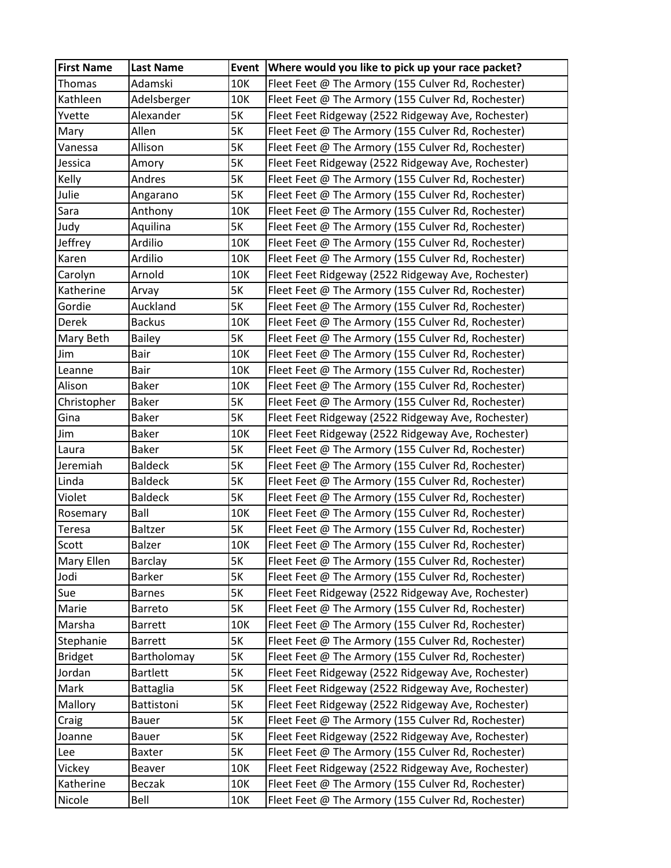| <b>First Name</b> | <b>Last Name</b> | <b>Event</b> | Where would you like to pick up your race packet?  |
|-------------------|------------------|--------------|----------------------------------------------------|
| Thomas            | Adamski          | 10K          | Fleet Feet @ The Armory (155 Culver Rd, Rochester) |
| Kathleen          | Adelsberger      | 10K          | Fleet Feet @ The Armory (155 Culver Rd, Rochester) |
| Yvette            | Alexander        | 5K           | Fleet Feet Ridgeway (2522 Ridgeway Ave, Rochester) |
| Mary              | Allen            | <b>5K</b>    | Fleet Feet @ The Armory (155 Culver Rd, Rochester) |
| Vanessa           | Allison          | 5K           | Fleet Feet @ The Armory (155 Culver Rd, Rochester) |
| Jessica           | Amory            | <b>5K</b>    | Fleet Feet Ridgeway (2522 Ridgeway Ave, Rochester) |
| Kelly             | Andres           | 5K           | Fleet Feet @ The Armory (155 Culver Rd, Rochester) |
| Julie             | Angarano         | 5K           | Fleet Feet @ The Armory (155 Culver Rd, Rochester) |
| Sara              | Anthony          | 10K          | Fleet Feet @ The Armory (155 Culver Rd, Rochester) |
| Judy              | Aquilina         | 5K           | Fleet Feet @ The Armory (155 Culver Rd, Rochester) |
| Jeffrey           | Ardilio          | 10K          | Fleet Feet @ The Armory (155 Culver Rd, Rochester) |
| Karen             | Ardilio          | 10K          | Fleet Feet @ The Armory (155 Culver Rd, Rochester) |
| Carolyn           | Arnold           | 10K          | Fleet Feet Ridgeway (2522 Ridgeway Ave, Rochester) |
| Katherine         | Arvay            | 5K           | Fleet Feet @ The Armory (155 Culver Rd, Rochester) |
| Gordie            | Auckland         | 5K           | Fleet Feet @ The Armory (155 Culver Rd, Rochester) |
| Derek             | <b>Backus</b>    | 10K          | Fleet Feet @ The Armory (155 Culver Rd, Rochester) |
| Mary Beth         | <b>Bailey</b>    | 5K           | Fleet Feet @ The Armory (155 Culver Rd, Rochester) |
| Jim               | Bair             | 10K          | Fleet Feet @ The Armory (155 Culver Rd, Rochester) |
| Leanne            | Bair             | 10K          | Fleet Feet @ The Armory (155 Culver Rd, Rochester) |
| Alison            | <b>Baker</b>     | 10K          | Fleet Feet @ The Armory (155 Culver Rd, Rochester) |
| Christopher       | <b>Baker</b>     | 5K           | Fleet Feet @ The Armory (155 Culver Rd, Rochester) |
| Gina              | <b>Baker</b>     | 5K           | Fleet Feet Ridgeway (2522 Ridgeway Ave, Rochester) |
| Jim               | <b>Baker</b>     | 10K          | Fleet Feet Ridgeway (2522 Ridgeway Ave, Rochester) |
| Laura             | <b>Baker</b>     | 5K           | Fleet Feet @ The Armory (155 Culver Rd, Rochester) |
| Jeremiah          | <b>Baldeck</b>   | 5K           | Fleet Feet @ The Armory (155 Culver Rd, Rochester) |
| Linda             | <b>Baldeck</b>   | 5K           | Fleet Feet @ The Armory (155 Culver Rd, Rochester) |
| Violet            | <b>Baldeck</b>   | 5K           | Fleet Feet @ The Armory (155 Culver Rd, Rochester) |
| Rosemary          | Ball             | 10K          | Fleet Feet @ The Armory (155 Culver Rd, Rochester) |
| Teresa            | Baltzer          | 5K           | Fleet Feet @ The Armory (155 Culver Rd, Rochester) |
| Scott             | Balzer           | 10K          | Fleet Feet @ The Armory (155 Culver Rd, Rochester) |
| Mary Ellen        | Barclay          | 5K           | Fleet Feet @ The Armory (155 Culver Rd, Rochester) |
| Jodi              | <b>Barker</b>    | 5K           | Fleet Feet @ The Armory (155 Culver Rd, Rochester) |
| Sue               | <b>Barnes</b>    | 5K           | Fleet Feet Ridgeway (2522 Ridgeway Ave, Rochester) |
| Marie             | Barreto          | 5K           | Fleet Feet @ The Armory (155 Culver Rd, Rochester) |
| Marsha            | <b>Barrett</b>   | 10K          | Fleet Feet @ The Armory (155 Culver Rd, Rochester) |
| Stephanie         | <b>Barrett</b>   | 5K           | Fleet Feet @ The Armory (155 Culver Rd, Rochester) |
| <b>Bridget</b>    | Bartholomay      | 5K           | Fleet Feet @ The Armory (155 Culver Rd, Rochester) |
| Jordan            | <b>Bartlett</b>  | 5K           | Fleet Feet Ridgeway (2522 Ridgeway Ave, Rochester) |
| Mark              | <b>Battaglia</b> | 5K           | Fleet Feet Ridgeway (2522 Ridgeway Ave, Rochester) |
| Mallory           | Battistoni       | 5K           | Fleet Feet Ridgeway (2522 Ridgeway Ave, Rochester) |
| Craig             | Bauer            | 5K           | Fleet Feet @ The Armory (155 Culver Rd, Rochester) |
| Joanne            | Bauer            | 5K           | Fleet Feet Ridgeway (2522 Ridgeway Ave, Rochester) |
| Lee               | <b>Baxter</b>    | 5K           | Fleet Feet @ The Armory (155 Culver Rd, Rochester) |
| Vickey            | Beaver           | 10K          | Fleet Feet Ridgeway (2522 Ridgeway Ave, Rochester) |
| Katherine         | Beczak           | 10K          | Fleet Feet @ The Armory (155 Culver Rd, Rochester) |
| Nicole            | Bell             | 10K          | Fleet Feet @ The Armory (155 Culver Rd, Rochester) |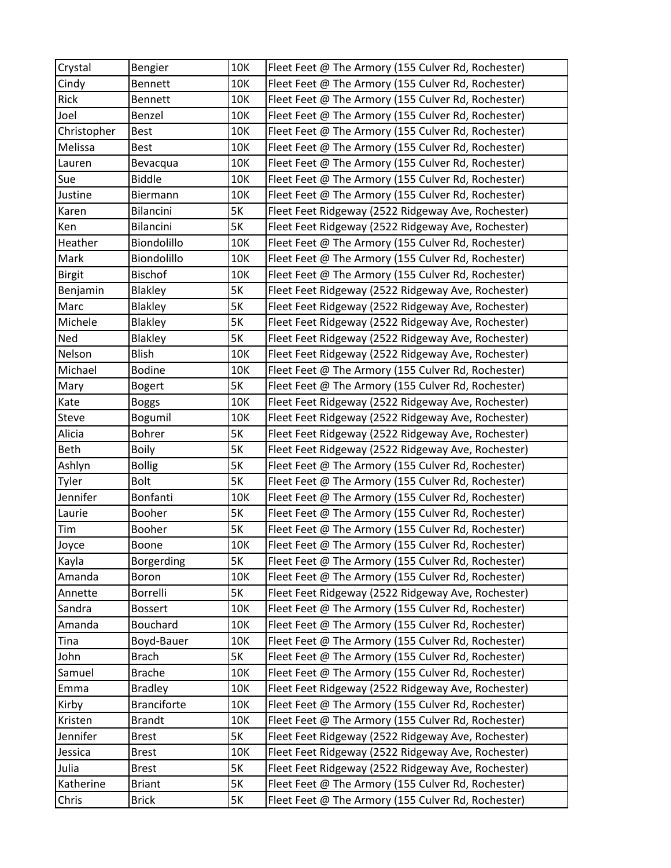| Crystal       | Bengier            | 10K       | Fleet Feet @ The Armory (155 Culver Rd, Rochester) |
|---------------|--------------------|-----------|----------------------------------------------------|
| Cindy         | <b>Bennett</b>     | 10K       | Fleet Feet @ The Armory (155 Culver Rd, Rochester) |
| <b>Rick</b>   | <b>Bennett</b>     | 10K       | Fleet Feet @ The Armory (155 Culver Rd, Rochester) |
| Joel          | Benzel             | 10K       | Fleet Feet @ The Armory (155 Culver Rd, Rochester) |
| Christopher   | <b>Best</b>        | 10K       | Fleet Feet @ The Armory (155 Culver Rd, Rochester) |
| Melissa       | Best               | 10K       | Fleet Feet @ The Armory (155 Culver Rd, Rochester) |
| Lauren        | Bevacqua           | 10K       | Fleet Feet @ The Armory (155 Culver Rd, Rochester) |
| Sue           | <b>Biddle</b>      | 10K       | Fleet Feet @ The Armory (155 Culver Rd, Rochester) |
| Justine       | Biermann           | 10K       | Fleet Feet @ The Armory (155 Culver Rd, Rochester) |
| Karen         | Bilancini          | 5K        | Fleet Feet Ridgeway (2522 Ridgeway Ave, Rochester) |
| Ken           | Bilancini          | 5K        | Fleet Feet Ridgeway (2522 Ridgeway Ave, Rochester) |
| Heather       | Biondolillo        | 10K       | Fleet Feet @ The Armory (155 Culver Rd, Rochester) |
| Mark          | Biondolillo        | 10K       | Fleet Feet @ The Armory (155 Culver Rd, Rochester) |
| <b>Birgit</b> | <b>Bischof</b>     | 10K       | Fleet Feet @ The Armory (155 Culver Rd, Rochester) |
| Benjamin      | Blakley            | 5K        | Fleet Feet Ridgeway (2522 Ridgeway Ave, Rochester) |
| Marc          | Blakley            | 5K        | Fleet Feet Ridgeway (2522 Ridgeway Ave, Rochester) |
| Michele       | Blakley            | 5K        | Fleet Feet Ridgeway (2522 Ridgeway Ave, Rochester) |
| Ned           | <b>Blakley</b>     | 5K        | Fleet Feet Ridgeway (2522 Ridgeway Ave, Rochester) |
| Nelson        | <b>Blish</b>       | 10K       | Fleet Feet Ridgeway (2522 Ridgeway Ave, Rochester) |
| Michael       | <b>Bodine</b>      | 10K       | Fleet Feet @ The Armory (155 Culver Rd, Rochester) |
| Mary          | <b>Bogert</b>      | 5K        | Fleet Feet @ The Armory (155 Culver Rd, Rochester) |
| Kate          | <b>Boggs</b>       | 10K       | Fleet Feet Ridgeway (2522 Ridgeway Ave, Rochester) |
| Steve         | Bogumil            | 10K       | Fleet Feet Ridgeway (2522 Ridgeway Ave, Rochester) |
| Alicia        | Bohrer             | <b>5K</b> | Fleet Feet Ridgeway (2522 Ridgeway Ave, Rochester) |
| Beth          | <b>Boily</b>       | 5K        | Fleet Feet Ridgeway (2522 Ridgeway Ave, Rochester) |
| Ashlyn        | <b>Bollig</b>      | 5K        | Fleet Feet @ The Armory (155 Culver Rd, Rochester) |
| Tyler         | <b>Bolt</b>        | 5K        | Fleet Feet @ The Armory (155 Culver Rd, Rochester) |
| Jennifer      | Bonfanti           | 10K       | Fleet Feet @ The Armory (155 Culver Rd, Rochester) |
| Laurie        | Booher             | 5K        | Fleet Feet @ The Armory (155 Culver Rd, Rochester) |
| Tim           | Booher             | 5K        | Fleet Feet @ The Armory (155 Culver Rd, Rochester) |
| Joyce         | Boone              | 10K       | Fleet Feet @ The Armory (155 Culver Rd, Rochester) |
| Kayla         | Borgerding         | 5K        | Fleet Feet @ The Armory (155 Culver Rd, Rochester) |
| Amanda        | Boron              | 10K       | Fleet Feet @ The Armory (155 Culver Rd, Rochester) |
| Annette       | Borrelli           | <b>5K</b> | Fleet Feet Ridgeway (2522 Ridgeway Ave, Rochester) |
| Sandra        | <b>Bossert</b>     | 10K       | Fleet Feet @ The Armory (155 Culver Rd, Rochester) |
| Amanda        | <b>Bouchard</b>    | 10K       | Fleet Feet @ The Armory (155 Culver Rd, Rochester) |
| Tina          | Boyd-Bauer         | 10K       | Fleet Feet @ The Armory (155 Culver Rd, Rochester) |
| John          | <b>Brach</b>       | 5K        | Fleet Feet @ The Armory (155 Culver Rd, Rochester) |
| Samuel        | <b>Brache</b>      | 10K       | Fleet Feet @ The Armory (155 Culver Rd, Rochester) |
| Emma          | <b>Bradley</b>     | 10K       | Fleet Feet Ridgeway (2522 Ridgeway Ave, Rochester) |
| Kirby         | <b>Branciforte</b> | 10K       | Fleet Feet @ The Armory (155 Culver Rd, Rochester) |
| Kristen       | <b>Brandt</b>      | 10K       | Fleet Feet @ The Armory (155 Culver Rd, Rochester) |
| Jennifer      | <b>Brest</b>       | 5K        | Fleet Feet Ridgeway (2522 Ridgeway Ave, Rochester) |
| Jessica       | <b>Brest</b>       | 10K       | Fleet Feet Ridgeway (2522 Ridgeway Ave, Rochester) |
| Julia         | <b>Brest</b>       | 5K        | Fleet Feet Ridgeway (2522 Ridgeway Ave, Rochester) |
| Katherine     | <b>Briant</b>      | 5K        | Fleet Feet @ The Armory (155 Culver Rd, Rochester) |
| Chris         | <b>Brick</b>       | 5K        | Fleet Feet @ The Armory (155 Culver Rd, Rochester) |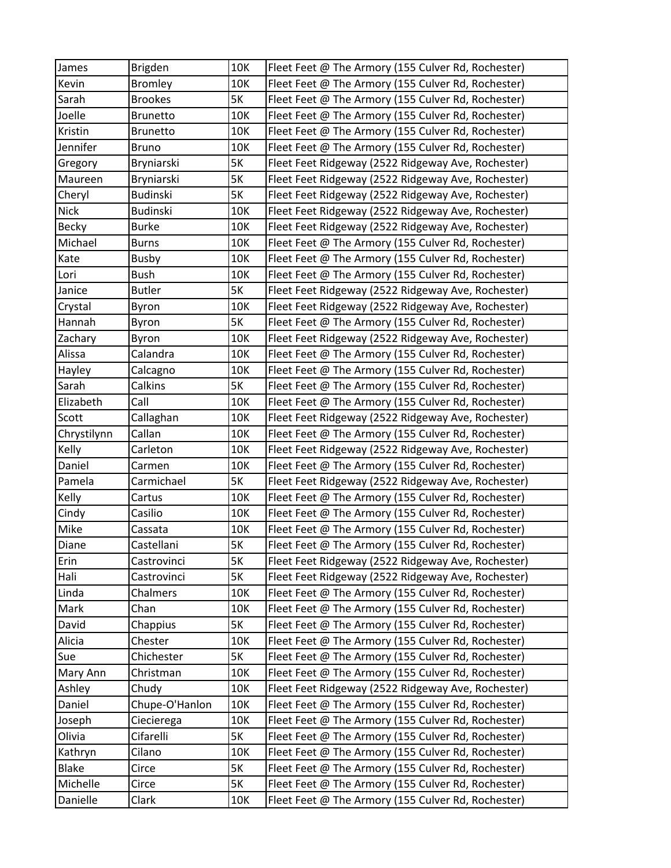| James        | Brigden         | 10K       | Fleet Feet @ The Armory (155 Culver Rd, Rochester) |
|--------------|-----------------|-----------|----------------------------------------------------|
| Kevin        | <b>Bromley</b>  | 10K       | Fleet Feet @ The Armory (155 Culver Rd, Rochester) |
| Sarah        | <b>Brookes</b>  | 5K        | Fleet Feet @ The Armory (155 Culver Rd, Rochester) |
| Joelle       | <b>Brunetto</b> | 10K       | Fleet Feet @ The Armory (155 Culver Rd, Rochester) |
| Kristin      | <b>Brunetto</b> | 10K       | Fleet Feet @ The Armory (155 Culver Rd, Rochester) |
| Jennifer     | <b>Bruno</b>    | 10K       | Fleet Feet @ The Armory (155 Culver Rd, Rochester) |
| Gregory      | Bryniarski      | 5K        | Fleet Feet Ridgeway (2522 Ridgeway Ave, Rochester) |
| Maureen      | Bryniarski      | 5K        | Fleet Feet Ridgeway (2522 Ridgeway Ave, Rochester) |
| Cheryl       | <b>Budinski</b> | 5K        | Fleet Feet Ridgeway (2522 Ridgeway Ave, Rochester) |
| <b>Nick</b>  | <b>Budinski</b> | 10K       | Fleet Feet Ridgeway (2522 Ridgeway Ave, Rochester) |
| <b>Becky</b> | <b>Burke</b>    | 10K       | Fleet Feet Ridgeway (2522 Ridgeway Ave, Rochester) |
| Michael      | <b>Burns</b>    | 10K       | Fleet Feet @ The Armory (155 Culver Rd, Rochester) |
| Kate         | <b>Busby</b>    | 10K       | Fleet Feet @ The Armory (155 Culver Rd, Rochester) |
| Lori         | <b>Bush</b>     | 10K       | Fleet Feet @ The Armory (155 Culver Rd, Rochester) |
| Janice       | <b>Butler</b>   | 5K        | Fleet Feet Ridgeway (2522 Ridgeway Ave, Rochester) |
| Crystal      | Byron           | 10K       | Fleet Feet Ridgeway (2522 Ridgeway Ave, Rochester) |
| Hannah       | Byron           | 5K        | Fleet Feet @ The Armory (155 Culver Rd, Rochester) |
| Zachary      | Byron           | 10K       | Fleet Feet Ridgeway (2522 Ridgeway Ave, Rochester) |
| Alissa       | Calandra        | 10K       | Fleet Feet @ The Armory (155 Culver Rd, Rochester) |
| Hayley       | Calcagno        | 10K       | Fleet Feet @ The Armory (155 Culver Rd, Rochester) |
| Sarah        | Calkins         | 5K        | Fleet Feet @ The Armory (155 Culver Rd, Rochester) |
| Elizabeth    | Call            | 10K       | Fleet Feet @ The Armory (155 Culver Rd, Rochester) |
| Scott        | Callaghan       | 10K       | Fleet Feet Ridgeway (2522 Ridgeway Ave, Rochester) |
| Chrystilynn  | Callan          | 10K       | Fleet Feet @ The Armory (155 Culver Rd, Rochester) |
| Kelly        | Carleton        | 10K       | Fleet Feet Ridgeway (2522 Ridgeway Ave, Rochester) |
| Daniel       | Carmen          | 10K       | Fleet Feet @ The Armory (155 Culver Rd, Rochester) |
| Pamela       | Carmichael      | 5K        | Fleet Feet Ridgeway (2522 Ridgeway Ave, Rochester) |
| Kelly        | Cartus          | 10K       | Fleet Feet @ The Armory (155 Culver Rd, Rochester) |
| Cindy        | Casilio         | 10K       | Fleet Feet @ The Armory (155 Culver Rd, Rochester) |
| Mike         | Cassata         | 10K       | Fleet Feet @ The Armory (155 Culver Rd, Rochester) |
| Diane        | Castellani      | 5K        | Fleet Feet @ The Armory (155 Culver Rd, Rochester) |
| Erin         | Castrovinci     | <b>5K</b> | Fleet Feet Ridgeway (2522 Ridgeway Ave, Rochester) |
| Hali         | Castrovinci     | 5K        | Fleet Feet Ridgeway (2522 Ridgeway Ave, Rochester) |
| Linda        | Chalmers        | 10K       | Fleet Feet @ The Armory (155 Culver Rd, Rochester) |
| Mark         | Chan            | 10K       | Fleet Feet @ The Armory (155 Culver Rd, Rochester) |
| David        | Chappius        | 5K        | Fleet Feet @ The Armory (155 Culver Rd, Rochester) |
| Alicia       | Chester         | 10K       | Fleet Feet @ The Armory (155 Culver Rd, Rochester) |
| Sue          | Chichester      | 5K        | Fleet Feet @ The Armory (155 Culver Rd, Rochester) |
| Mary Ann     | Christman       | 10K       | Fleet Feet @ The Armory (155 Culver Rd, Rochester) |
| Ashley       | Chudy           | 10K       | Fleet Feet Ridgeway (2522 Ridgeway Ave, Rochester) |
| Daniel       | Chupe-O'Hanlon  | 10K       | Fleet Feet @ The Armory (155 Culver Rd, Rochester) |
| Joseph       | Ciecierega      | 10K       | Fleet Feet @ The Armory (155 Culver Rd, Rochester) |
| Olivia       | Cifarelli       | 5K        | Fleet Feet @ The Armory (155 Culver Rd, Rochester) |
| Kathryn      | Cilano          | 10K       | Fleet Feet @ The Armory (155 Culver Rd, Rochester) |
| <b>Blake</b> | Circe           | 5K        | Fleet Feet @ The Armory (155 Culver Rd, Rochester) |
| Michelle     | Circe           | 5K        | Fleet Feet @ The Armory (155 Culver Rd, Rochester) |
| Danielle     | Clark           | 10K       | Fleet Feet @ The Armory (155 Culver Rd, Rochester) |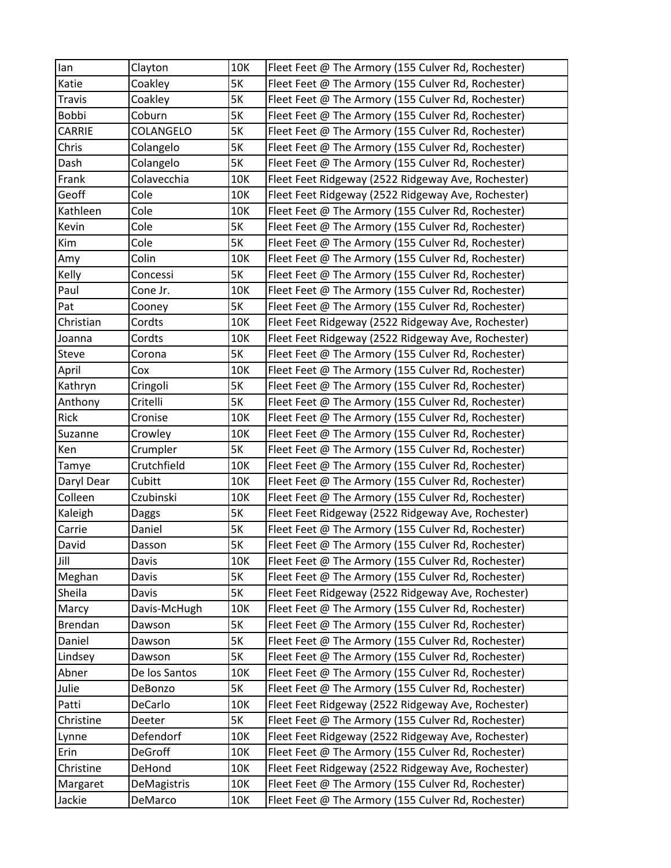| lan            | Clayton        | 10K       | Fleet Feet @ The Armory (155 Culver Rd, Rochester) |
|----------------|----------------|-----------|----------------------------------------------------|
| Katie          | Coakley        | 5K        | Fleet Feet @ The Armory (155 Culver Rd, Rochester) |
| <b>Travis</b>  | Coakley        | 5K        | Fleet Feet @ The Armory (155 Culver Rd, Rochester) |
| Bobbi          | Coburn         | 5K        | Fleet Feet @ The Armory (155 Culver Rd, Rochester) |
| CARRIE         | COLANGELO      | <b>5K</b> | Fleet Feet @ The Armory (155 Culver Rd, Rochester) |
| Chris          | Colangelo      | 5K        | Fleet Feet @ The Armory (155 Culver Rd, Rochester) |
| Dash           | Colangelo      | 5K        | Fleet Feet @ The Armory (155 Culver Rd, Rochester) |
| Frank          | Colavecchia    | 10K       | Fleet Feet Ridgeway (2522 Ridgeway Ave, Rochester) |
| Geoff          | Cole           | 10K       | Fleet Feet Ridgeway (2522 Ridgeway Ave, Rochester) |
| Kathleen       | Cole           | 10K       | Fleet Feet @ The Armory (155 Culver Rd, Rochester) |
| Kevin          | Cole           | 5K        | Fleet Feet @ The Armory (155 Culver Rd, Rochester) |
| Kim            | Cole           | 5K        | Fleet Feet @ The Armory (155 Culver Rd, Rochester) |
| Amy            | Colin          | 10K       | Fleet Feet @ The Armory (155 Culver Rd, Rochester) |
| Kelly          | Concessi       | 5K        | Fleet Feet @ The Armory (155 Culver Rd, Rochester) |
| Paul           | Cone Jr.       | 10K       | Fleet Feet @ The Armory (155 Culver Rd, Rochester) |
| Pat            | Cooney         | 5K        | Fleet Feet @ The Armory (155 Culver Rd, Rochester) |
| Christian      | Cordts         | 10K       | Fleet Feet Ridgeway (2522 Ridgeway Ave, Rochester) |
| Joanna         | Cordts         | 10K       | Fleet Feet Ridgeway (2522 Ridgeway Ave, Rochester) |
| <b>Steve</b>   | Corona         | 5K        | Fleet Feet @ The Armory (155 Culver Rd, Rochester) |
| April          | Cox            | 10K       | Fleet Feet @ The Armory (155 Culver Rd, Rochester) |
| Kathryn        | Cringoli       | 5K        | Fleet Feet @ The Armory (155 Culver Rd, Rochester) |
| Anthony        | Critelli       | 5K        | Fleet Feet @ The Armory (155 Culver Rd, Rochester) |
| Rick           | Cronise        | 10K       | Fleet Feet @ The Armory (155 Culver Rd, Rochester) |
| Suzanne        | Crowley        | 10K       | Fleet Feet @ The Armory (155 Culver Rd, Rochester) |
| Ken            | Crumpler       | 5K        | Fleet Feet @ The Armory (155 Culver Rd, Rochester) |
| Tamye          | Crutchfield    | 10K       | Fleet Feet @ The Armory (155 Culver Rd, Rochester) |
| Daryl Dear     | Cubitt         | 10K       | Fleet Feet @ The Armory (155 Culver Rd, Rochester) |
| Colleen        | Czubinski      | 10K       | Fleet Feet @ The Armory (155 Culver Rd, Rochester) |
| Kaleigh        | <b>Daggs</b>   | <b>5K</b> | Fleet Feet Ridgeway (2522 Ridgeway Ave, Rochester) |
| Carrie         | Daniel         | 5K        | Fleet Feet @ The Armory (155 Culver Rd, Rochester) |
| David          | Dasson         | <b>5K</b> | Fleet Feet @ The Armory (155 Culver Rd, Rochester) |
| Jill           | Davis          | 10K       | Fleet Feet @ The Armory (155 Culver Rd, Rochester) |
| Meghan         | Davis          | 5K        | Fleet Feet @ The Armory (155 Culver Rd, Rochester) |
| Sheila         | Davis          | 5K        | Fleet Feet Ridgeway (2522 Ridgeway Ave, Rochester) |
| Marcy          | Davis-McHugh   | 10K       | Fleet Feet @ The Armory (155 Culver Rd, Rochester) |
| <b>Brendan</b> | Dawson         | 5K        | Fleet Feet @ The Armory (155 Culver Rd, Rochester) |
| Daniel         | Dawson         | 5K        | Fleet Feet @ The Armory (155 Culver Rd, Rochester) |
| Lindsey        | Dawson         | 5K        | Fleet Feet @ The Armory (155 Culver Rd, Rochester) |
| Abner          | De los Santos  | 10K       | Fleet Feet @ The Armory (155 Culver Rd, Rochester) |
| Julie          | DeBonzo        | 5K        | Fleet Feet @ The Armory (155 Culver Rd, Rochester) |
| Patti          | DeCarlo        | 10K       | Fleet Feet Ridgeway (2522 Ridgeway Ave, Rochester) |
| Christine      | Deeter         | 5K        | Fleet Feet @ The Armory (155 Culver Rd, Rochester) |
| Lynne          | Defendorf      | 10K       | Fleet Feet Ridgeway (2522 Ridgeway Ave, Rochester) |
| Erin           | <b>DeGroff</b> | 10K       | Fleet Feet @ The Armory (155 Culver Rd, Rochester) |
| Christine      | DeHond         | 10K       | Fleet Feet Ridgeway (2522 Ridgeway Ave, Rochester) |
| Margaret       | DeMagistris    | 10K       | Fleet Feet @ The Armory (155 Culver Rd, Rochester) |
| Jackie         | DeMarco        | 10K       | Fleet Feet @ The Armory (155 Culver Rd, Rochester) |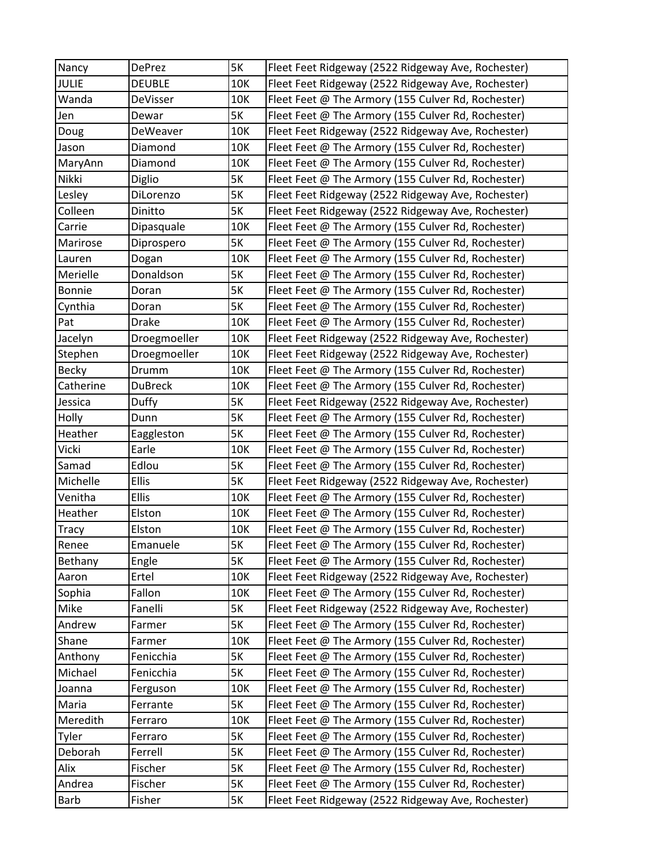| Nancy        | DePrez         | 5K        | Fleet Feet Ridgeway (2522 Ridgeway Ave, Rochester) |
|--------------|----------------|-----------|----------------------------------------------------|
| <b>JULIE</b> | <b>DEUBLE</b>  | 10K       | Fleet Feet Ridgeway (2522 Ridgeway Ave, Rochester) |
| Wanda        | DeVisser       | 10K       | Fleet Feet @ The Armory (155 Culver Rd, Rochester) |
| Jen          | Dewar          | <b>5K</b> | Fleet Feet @ The Armory (155 Culver Rd, Rochester) |
| Doug         | DeWeaver       | 10K       | Fleet Feet Ridgeway (2522 Ridgeway Ave, Rochester) |
| Jason        | Diamond        | 10K       | Fleet Feet @ The Armory (155 Culver Rd, Rochester) |
| MaryAnn      | Diamond        | 10K       | Fleet Feet @ The Armory (155 Culver Rd, Rochester) |
| Nikki        | Diglio         | <b>5K</b> | Fleet Feet @ The Armory (155 Culver Rd, Rochester) |
| Lesley       | DiLorenzo      | <b>5K</b> | Fleet Feet Ridgeway (2522 Ridgeway Ave, Rochester) |
| Colleen      | Dinitto        | <b>5K</b> | Fleet Feet Ridgeway (2522 Ridgeway Ave, Rochester) |
| Carrie       | Dipasquale     | 10K       | Fleet Feet @ The Armory (155 Culver Rd, Rochester) |
| Marirose     | Diprospero     | <b>5K</b> | Fleet Feet @ The Armory (155 Culver Rd, Rochester) |
| Lauren       | Dogan          | 10K       | Fleet Feet @ The Armory (155 Culver Rd, Rochester) |
| Merielle     | Donaldson      | <b>5K</b> | Fleet Feet @ The Armory (155 Culver Rd, Rochester) |
| Bonnie       | Doran          | <b>5K</b> | Fleet Feet @ The Armory (155 Culver Rd, Rochester) |
| Cynthia      | Doran          | <b>5K</b> | Fleet Feet @ The Armory (155 Culver Rd, Rochester) |
| Pat          | <b>Drake</b>   | 10K       | Fleet Feet @ The Armory (155 Culver Rd, Rochester) |
| Jacelyn      | Droegmoeller   | 10K       | Fleet Feet Ridgeway (2522 Ridgeway Ave, Rochester) |
| Stephen      | Droegmoeller   | 10K       | Fleet Feet Ridgeway (2522 Ridgeway Ave, Rochester) |
| Becky        | Drumm          | 10K       | Fleet Feet @ The Armory (155 Culver Rd, Rochester) |
| Catherine    | <b>DuBreck</b> | 10K       | Fleet Feet @ The Armory (155 Culver Rd, Rochester) |
| Jessica      | Duffy          | <b>5K</b> | Fleet Feet Ridgeway (2522 Ridgeway Ave, Rochester) |
| Holly        | Dunn           | <b>5K</b> | Fleet Feet @ The Armory (155 Culver Rd, Rochester) |
| Heather      | Eaggleston     | <b>5K</b> | Fleet Feet @ The Armory (155 Culver Rd, Rochester) |
| Vicki        | Earle          | 10K       | Fleet Feet @ The Armory (155 Culver Rd, Rochester) |
| Samad        | Edlou          | <b>5K</b> | Fleet Feet @ The Armory (155 Culver Rd, Rochester) |
| Michelle     | <b>Ellis</b>   | <b>5K</b> | Fleet Feet Ridgeway (2522 Ridgeway Ave, Rochester) |
| Venitha      | <b>Ellis</b>   | 10K       | Fleet Feet @ The Armory (155 Culver Rd, Rochester) |
| Heather      | Elston         | 10K       | Fleet Feet @ The Armory (155 Culver Rd, Rochester) |
| <b>Tracy</b> | Elston         | 10K       | Fleet Feet @ The Armory (155 Culver Rd, Rochester) |
| Renee        | Emanuele       | <b>5K</b> | Fleet Feet @ The Armory (155 Culver Rd, Rochester) |
| Bethany      | Engle          | 5K        | Fleet Feet @ The Armory (155 Culver Rd, Rochester) |
| Aaron        | Ertel          | 10K       | Fleet Feet Ridgeway (2522 Ridgeway Ave, Rochester) |
| Sophia       | Fallon         | 10K       | Fleet Feet @ The Armory (155 Culver Rd, Rochester) |
| Mike         | Fanelli        | 5K        | Fleet Feet Ridgeway (2522 Ridgeway Ave, Rochester) |
| Andrew       | Farmer         | <b>5K</b> | Fleet Feet @ The Armory (155 Culver Rd, Rochester) |
| Shane        | Farmer         | 10K       | Fleet Feet @ The Armory (155 Culver Rd, Rochester) |
| Anthony      | Fenicchia      | 5K        | Fleet Feet @ The Armory (155 Culver Rd, Rochester) |
| Michael      | Fenicchia      | <b>5K</b> | Fleet Feet @ The Armory (155 Culver Rd, Rochester) |
| Joanna       | Ferguson       | 10K       | Fleet Feet @ The Armory (155 Culver Rd, Rochester) |
| Maria        | Ferrante       | <b>5K</b> | Fleet Feet @ The Armory (155 Culver Rd, Rochester) |
| Meredith     | Ferraro        | 10K       | Fleet Feet @ The Armory (155 Culver Rd, Rochester) |
| Tyler        | Ferraro        | <b>5K</b> | Fleet Feet @ The Armory (155 Culver Rd, Rochester) |
| Deborah      | Ferrell        | <b>5K</b> | Fleet Feet @ The Armory (155 Culver Rd, Rochester) |
| Alix         | Fischer        | <b>5K</b> | Fleet Feet @ The Armory (155 Culver Rd, Rochester) |
| Andrea       | Fischer        | 5K        | Fleet Feet @ The Armory (155 Culver Rd, Rochester) |
| Barb         | Fisher         | 5K        | Fleet Feet Ridgeway (2522 Ridgeway Ave, Rochester) |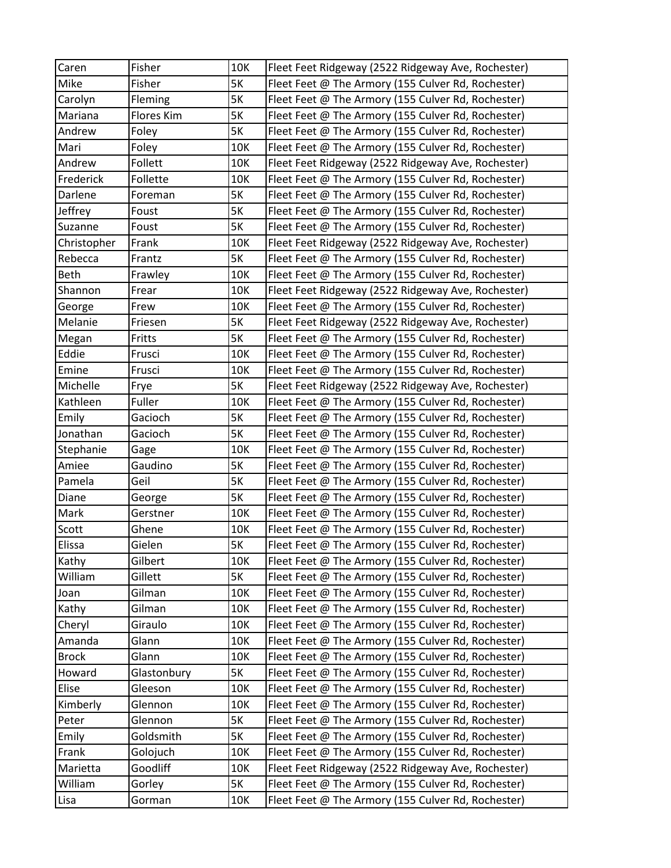| Caren        | Fisher      | 10K       | Fleet Feet Ridgeway (2522 Ridgeway Ave, Rochester) |
|--------------|-------------|-----------|----------------------------------------------------|
| Mike         | Fisher      | 5K        | Fleet Feet @ The Armory (155 Culver Rd, Rochester) |
| Carolyn      | Fleming     | <b>5K</b> | Fleet Feet @ The Armory (155 Culver Rd, Rochester) |
| Mariana      | Flores Kim  | 5K        | Fleet Feet @ The Armory (155 Culver Rd, Rochester) |
| Andrew       | Foley       | 5K        | Fleet Feet @ The Armory (155 Culver Rd, Rochester) |
| Mari         | Foley       | 10K       | Fleet Feet @ The Armory (155 Culver Rd, Rochester) |
| Andrew       | Follett     | 10K       | Fleet Feet Ridgeway (2522 Ridgeway Ave, Rochester) |
| Frederick    | Follette    | 10K       | Fleet Feet @ The Armory (155 Culver Rd, Rochester) |
| Darlene      | Foreman     | <b>5K</b> | Fleet Feet @ The Armory (155 Culver Rd, Rochester) |
| Jeffrey      | Foust       | <b>5K</b> | Fleet Feet @ The Armory (155 Culver Rd, Rochester) |
| Suzanne      | Foust       | <b>5K</b> | Fleet Feet @ The Armory (155 Culver Rd, Rochester) |
| Christopher  | Frank       | 10K       | Fleet Feet Ridgeway (2522 Ridgeway Ave, Rochester) |
| Rebecca      | Frantz      | 5K        | Fleet Feet @ The Armory (155 Culver Rd, Rochester) |
| <b>Beth</b>  | Frawley     | 10K       | Fleet Feet @ The Armory (155 Culver Rd, Rochester) |
| Shannon      | Frear       | 10K       | Fleet Feet Ridgeway (2522 Ridgeway Ave, Rochester) |
| George       | Frew        | 10K       | Fleet Feet @ The Armory (155 Culver Rd, Rochester) |
| Melanie      | Friesen     | <b>5K</b> | Fleet Feet Ridgeway (2522 Ridgeway Ave, Rochester) |
| Megan        | Fritts      | <b>5K</b> | Fleet Feet @ The Armory (155 Culver Rd, Rochester) |
| Eddie        | Frusci      | 10K       | Fleet Feet @ The Armory (155 Culver Rd, Rochester) |
| Emine        | Frusci      | 10K       | Fleet Feet @ The Armory (155 Culver Rd, Rochester) |
| Michelle     | Frye        | 5K        | Fleet Feet Ridgeway (2522 Ridgeway Ave, Rochester) |
| Kathleen     | Fuller      | 10K       | Fleet Feet @ The Armory (155 Culver Rd, Rochester) |
| Emily        | Gacioch     | 5K        | Fleet Feet @ The Armory (155 Culver Rd, Rochester) |
| Jonathan     | Gacioch     | <b>5K</b> | Fleet Feet @ The Armory (155 Culver Rd, Rochester) |
| Stephanie    | Gage        | 10K       | Fleet Feet @ The Armory (155 Culver Rd, Rochester) |
| Amiee        | Gaudino     | 5K        | Fleet Feet @ The Armory (155 Culver Rd, Rochester) |
| Pamela       | Geil        | <b>5K</b> | Fleet Feet @ The Armory (155 Culver Rd, Rochester) |
| Diane        | George      | 5K        | Fleet Feet @ The Armory (155 Culver Rd, Rochester) |
| Mark         | Gerstner    | 10K       | Fleet Feet @ The Armory (155 Culver Rd, Rochester) |
| Scott        | Ghene       | 10K       | Fleet Feet @ The Armory (155 Culver Rd, Rochester) |
| Elissa       | Gielen      | 5K        | Fleet Feet @ The Armory (155 Culver Rd, Rochester) |
| Kathy        | Gilbert     | 10K       | Fleet Feet @ The Armory (155 Culver Rd, Rochester) |
| William      | Gillett     | 5K        | Fleet Feet @ The Armory (155 Culver Rd, Rochester) |
| Joan         | Gilman      | 10K       | Fleet Feet @ The Armory (155 Culver Rd, Rochester) |
| Kathy        | Gilman      | 10K       | Fleet Feet @ The Armory (155 Culver Rd, Rochester) |
| Cheryl       | Giraulo     | 10K       | Fleet Feet @ The Armory (155 Culver Rd, Rochester) |
| Amanda       | Glann       | 10K       | Fleet Feet @ The Armory (155 Culver Rd, Rochester) |
| <b>Brock</b> | Glann       | 10K       | Fleet Feet @ The Armory (155 Culver Rd, Rochester) |
| Howard       | Glastonbury | 5K        | Fleet Feet @ The Armory (155 Culver Rd, Rochester) |
| Elise        | Gleeson     | 10K       | Fleet Feet @ The Armory (155 Culver Rd, Rochester) |
| Kimberly     | Glennon     | 10K       | Fleet Feet @ The Armory (155 Culver Rd, Rochester) |
| Peter        | Glennon     | <b>5K</b> | Fleet Feet @ The Armory (155 Culver Rd, Rochester) |
| Emily        | Goldsmith   | 5K        | Fleet Feet @ The Armory (155 Culver Rd, Rochester) |
| Frank        | Golojuch    | 10K       | Fleet Feet @ The Armory (155 Culver Rd, Rochester) |
| Marietta     | Goodliff    | 10K       | Fleet Feet Ridgeway (2522 Ridgeway Ave, Rochester) |
| William      | Gorley      | 5K        | Fleet Feet @ The Armory (155 Culver Rd, Rochester) |
| Lisa         | Gorman      | 10K       | Fleet Feet @ The Armory (155 Culver Rd, Rochester) |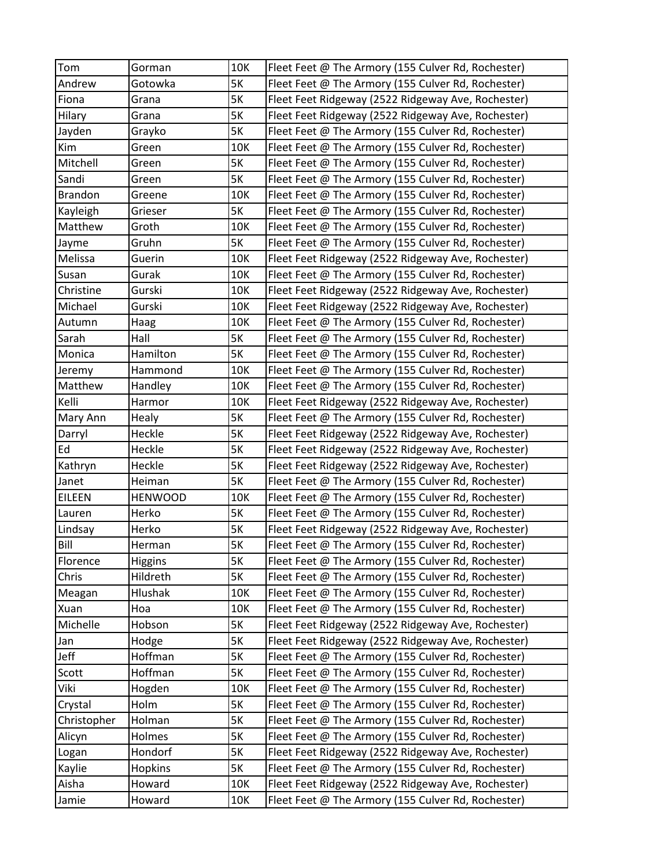| Tom            | Gorman         | 10K       | Fleet Feet @ The Armory (155 Culver Rd, Rochester) |
|----------------|----------------|-----------|----------------------------------------------------|
| Andrew         | Gotowka        | 5K        | Fleet Feet @ The Armory (155 Culver Rd, Rochester) |
| Fiona          | Grana          | 5K        | Fleet Feet Ridgeway (2522 Ridgeway Ave, Rochester) |
| Hilary         | Grana          | 5K        | Fleet Feet Ridgeway (2522 Ridgeway Ave, Rochester) |
| Jayden         | Grayko         | 5K        | Fleet Feet @ The Armory (155 Culver Rd, Rochester) |
| Kim            | Green          | 10K       | Fleet Feet @ The Armory (155 Culver Rd, Rochester) |
| Mitchell       | Green          | 5K        | Fleet Feet @ The Armory (155 Culver Rd, Rochester) |
| Sandi          | Green          | 5K        | Fleet Feet @ The Armory (155 Culver Rd, Rochester) |
| <b>Brandon</b> | Greene         | 10K       | Fleet Feet @ The Armory (155 Culver Rd, Rochester) |
| Kayleigh       | Grieser        | <b>5K</b> | Fleet Feet @ The Armory (155 Culver Rd, Rochester) |
| Matthew        | Groth          | 10K       | Fleet Feet @ The Armory (155 Culver Rd, Rochester) |
| Jayme          | Gruhn          | 5K        | Fleet Feet @ The Armory (155 Culver Rd, Rochester) |
| Melissa        | Guerin         | 10K       | Fleet Feet Ridgeway (2522 Ridgeway Ave, Rochester) |
| Susan          | Gurak          | 10K       | Fleet Feet @ The Armory (155 Culver Rd, Rochester) |
| Christine      | Gurski         | 10K       | Fleet Feet Ridgeway (2522 Ridgeway Ave, Rochester) |
| Michael        | Gurski         | 10K       | Fleet Feet Ridgeway (2522 Ridgeway Ave, Rochester) |
| Autumn         | Haag           | 10K       | Fleet Feet @ The Armory (155 Culver Rd, Rochester) |
| Sarah          | Hall           | 5K        | Fleet Feet @ The Armory (155 Culver Rd, Rochester) |
| Monica         | Hamilton       | 5K        | Fleet Feet @ The Armory (155 Culver Rd, Rochester) |
| Jeremy         | Hammond        | 10K       | Fleet Feet @ The Armory (155 Culver Rd, Rochester) |
| Matthew        | Handley        | 10K       | Fleet Feet @ The Armory (155 Culver Rd, Rochester) |
| Kelli          | Harmor         | 10K       | Fleet Feet Ridgeway (2522 Ridgeway Ave, Rochester) |
| Mary Ann       | Healy          | 5K        | Fleet Feet @ The Armory (155 Culver Rd, Rochester) |
| Darryl         | Heckle         | 5K        | Fleet Feet Ridgeway (2522 Ridgeway Ave, Rochester) |
| Ed             | Heckle         | 5K        | Fleet Feet Ridgeway (2522 Ridgeway Ave, Rochester) |
| Kathryn        | Heckle         | 5K        | Fleet Feet Ridgeway (2522 Ridgeway Ave, Rochester) |
| Janet          | Heiman         | 5K        | Fleet Feet @ The Armory (155 Culver Rd, Rochester) |
| <b>EILEEN</b>  | <b>HENWOOD</b> | 10K       | Fleet Feet @ The Armory (155 Culver Rd, Rochester) |
| Lauren         | Herko          | <b>5K</b> | Fleet Feet @ The Armory (155 Culver Rd, Rochester) |
| Lindsay        | Herko          | 5K        | Fleet Feet Ridgeway (2522 Ridgeway Ave, Rochester) |
| Bill           | Herman         | 5K        | Fleet Feet @ The Armory (155 Culver Rd, Rochester) |
| Florence       | <b>Higgins</b> | 5K        | Fleet Feet @ The Armory (155 Culver Rd, Rochester) |
| Chris          | Hildreth       | 5K        | Fleet Feet @ The Armory (155 Culver Rd, Rochester) |
| Meagan         | Hlushak        | 10K       | Fleet Feet @ The Armory (155 Culver Rd, Rochester) |
| Xuan           | Hoa            | 10K       | Fleet Feet @ The Armory (155 Culver Rd, Rochester) |
| Michelle       | Hobson         | 5K        | Fleet Feet Ridgeway (2522 Ridgeway Ave, Rochester) |
| Jan            | Hodge          | 5K        | Fleet Feet Ridgeway (2522 Ridgeway Ave, Rochester) |
| Jeff           | Hoffman        | 5K        | Fleet Feet @ The Armory (155 Culver Rd, Rochester) |
| Scott          | Hoffman        | 5K        | Fleet Feet @ The Armory (155 Culver Rd, Rochester) |
| Viki           | Hogden         | 10K       | Fleet Feet @ The Armory (155 Culver Rd, Rochester) |
| Crystal        | Holm           | 5K        | Fleet Feet @ The Armory (155 Culver Rd, Rochester) |
| Christopher    | Holman         | 5K        | Fleet Feet @ The Armory (155 Culver Rd, Rochester) |
| Alicyn         | Holmes         | 5K        | Fleet Feet @ The Armory (155 Culver Rd, Rochester) |
| Logan          | Hondorf        | 5K        | Fleet Feet Ridgeway (2522 Ridgeway Ave, Rochester) |
| Kaylie         | Hopkins        | 5K        | Fleet Feet @ The Armory (155 Culver Rd, Rochester) |
| Aisha          | Howard         | 10K       | Fleet Feet Ridgeway (2522 Ridgeway Ave, Rochester) |
| Jamie          | Howard         | 10K       | Fleet Feet @ The Armory (155 Culver Rd, Rochester) |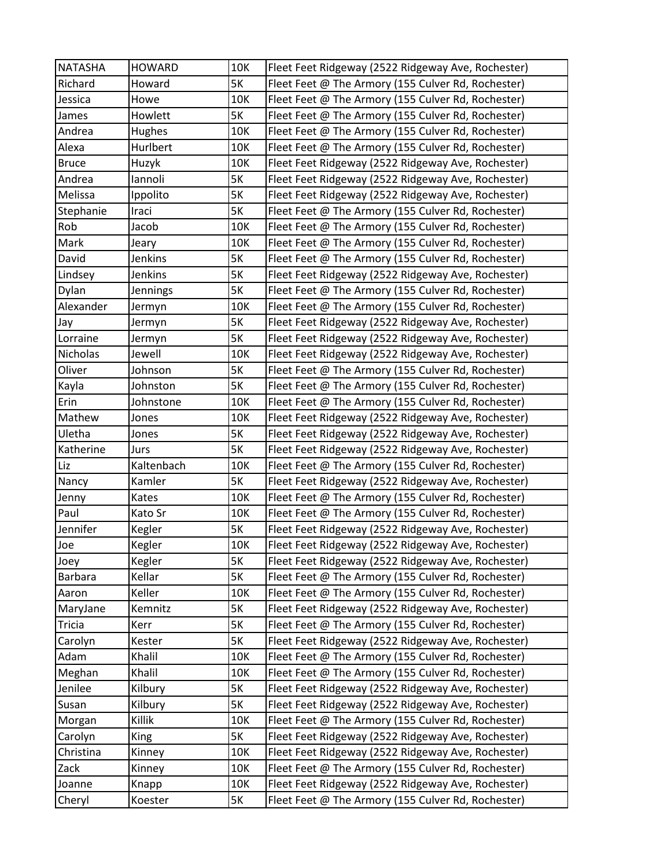| <b>NATASHA</b> | <b>HOWARD</b>   | 10K       | Fleet Feet Ridgeway (2522 Ridgeway Ave, Rochester) |
|----------------|-----------------|-----------|----------------------------------------------------|
| Richard        | Howard          | 5K        | Fleet Feet @ The Armory (155 Culver Rd, Rochester) |
| Jessica        | Howe            | 10K       | Fleet Feet @ The Armory (155 Culver Rd, Rochester) |
| James          | Howlett         | <b>5K</b> | Fleet Feet @ The Armory (155 Culver Rd, Rochester) |
| Andrea         | Hughes          | 10K       | Fleet Feet @ The Armory (155 Culver Rd, Rochester) |
| Alexa          | Hurlbert        | 10K       | Fleet Feet @ The Armory (155 Culver Rd, Rochester) |
| <b>Bruce</b>   | Huzyk           | 10K       | Fleet Feet Ridgeway (2522 Ridgeway Ave, Rochester) |
| Andrea         | lannoli         | <b>5K</b> | Fleet Feet Ridgeway (2522 Ridgeway Ave, Rochester) |
| Melissa        | Ippolito        | <b>5K</b> | Fleet Feet Ridgeway (2522 Ridgeway Ave, Rochester) |
| Stephanie      | Iraci           | <b>5K</b> | Fleet Feet @ The Armory (155 Culver Rd, Rochester) |
| Rob            | Jacob           | 10K       | Fleet Feet @ The Armory (155 Culver Rd, Rochester) |
| Mark           | Jeary           | 10K       | Fleet Feet @ The Armory (155 Culver Rd, Rochester) |
| David          | Jenkins         | <b>5K</b> | Fleet Feet @ The Armory (155 Culver Rd, Rochester) |
| Lindsey        | Jenkins         | <b>5K</b> | Fleet Feet Ridgeway (2522 Ridgeway Ave, Rochester) |
| Dylan          | <b>Jennings</b> | <b>5K</b> | Fleet Feet @ The Armory (155 Culver Rd, Rochester) |
| Alexander      | Jermyn          | 10K       | Fleet Feet @ The Armory (155 Culver Rd, Rochester) |
| Jay            | Jermyn          | <b>5K</b> | Fleet Feet Ridgeway (2522 Ridgeway Ave, Rochester) |
| Lorraine       | Jermyn          | <b>5K</b> | Fleet Feet Ridgeway (2522 Ridgeway Ave, Rochester) |
| Nicholas       | Jewell          | 10K       | Fleet Feet Ridgeway (2522 Ridgeway Ave, Rochester) |
| Oliver         | Johnson         | <b>5K</b> | Fleet Feet @ The Armory (155 Culver Rd, Rochester) |
| Kayla          | Johnston        | <b>5K</b> | Fleet Feet @ The Armory (155 Culver Rd, Rochester) |
| Erin           | Johnstone       | 10K       | Fleet Feet @ The Armory (155 Culver Rd, Rochester) |
| Mathew         | Jones           | 10K       | Fleet Feet Ridgeway (2522 Ridgeway Ave, Rochester) |
| Uletha         | Jones           | <b>5K</b> | Fleet Feet Ridgeway (2522 Ridgeway Ave, Rochester) |
| Katherine      | Jurs            | 5K        | Fleet Feet Ridgeway (2522 Ridgeway Ave, Rochester) |
| Liz            | Kaltenbach      | 10K       | Fleet Feet @ The Armory (155 Culver Rd, Rochester) |
| Nancy          | Kamler          | <b>5K</b> | Fleet Feet Ridgeway (2522 Ridgeway Ave, Rochester) |
| Jenny          | Kates           | 10K       | Fleet Feet @ The Armory (155 Culver Rd, Rochester) |
| Paul           | Kato Sr         | 10K       | Fleet Feet @ The Armory (155 Culver Rd, Rochester) |
| Jennifer       | Kegler          | <b>5K</b> | Fleet Feet Ridgeway (2522 Ridgeway Ave, Rochester) |
| Joe            | Kegler          | 10K       | Fleet Feet Ridgeway (2522 Ridgeway Ave, Rochester) |
| Joey           | Kegler          | 5K        | Fleet Feet Ridgeway (2522 Ridgeway Ave, Rochester) |
| <b>Barbara</b> | Kellar          | 5K        | Fleet Feet @ The Armory (155 Culver Rd, Rochester) |
| Aaron          | Keller          | 10K       | Fleet Feet @ The Armory (155 Culver Rd, Rochester) |
| MaryJane       | Kemnitz         | 5K        | Fleet Feet Ridgeway (2522 Ridgeway Ave, Rochester) |
| <b>Tricia</b>  | Kerr            | <b>5K</b> | Fleet Feet @ The Armory (155 Culver Rd, Rochester) |
| Carolyn        | Kester          | <b>5K</b> | Fleet Feet Ridgeway (2522 Ridgeway Ave, Rochester) |
| Adam           | Khalil          | 10K       | Fleet Feet @ The Armory (155 Culver Rd, Rochester) |
| Meghan         | Khalil          | 10K       | Fleet Feet @ The Armory (155 Culver Rd, Rochester) |
| Jenilee        | Kilbury         | 5K        | Fleet Feet Ridgeway (2522 Ridgeway Ave, Rochester) |
| Susan          | Kilbury         | 5K        | Fleet Feet Ridgeway (2522 Ridgeway Ave, Rochester) |
| Morgan         | Killik          | 10K       | Fleet Feet @ The Armory (155 Culver Rd, Rochester) |
| Carolyn        | King            | <b>5K</b> | Fleet Feet Ridgeway (2522 Ridgeway Ave, Rochester) |
| Christina      | Kinney          | 10K       | Fleet Feet Ridgeway (2522 Ridgeway Ave, Rochester) |
| Zack           | Kinney          | 10K       | Fleet Feet @ The Armory (155 Culver Rd, Rochester) |
| Joanne         | Knapp           | 10K       | Fleet Feet Ridgeway (2522 Ridgeway Ave, Rochester) |
| Cheryl         | Koester         | 5K        | Fleet Feet @ The Armory (155 Culver Rd, Rochester) |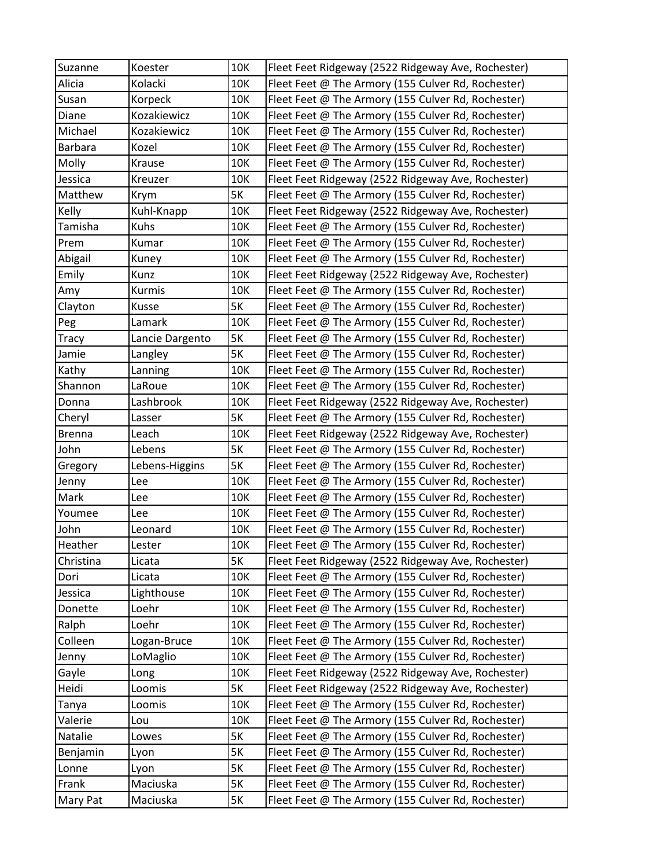| Suzanne       | Koester         | 10K | Fleet Feet Ridgeway (2522 Ridgeway Ave, Rochester) |
|---------------|-----------------|-----|----------------------------------------------------|
| Alicia        | Kolacki         | 10K | Fleet Feet @ The Armory (155 Culver Rd, Rochester) |
| Susan         | Korpeck         | 10K | Fleet Feet @ The Armory (155 Culver Rd, Rochester) |
| Diane         | Kozakiewicz     | 10K | Fleet Feet @ The Armory (155 Culver Rd, Rochester) |
| Michael       | Kozakiewicz     | 10K | Fleet Feet @ The Armory (155 Culver Rd, Rochester) |
| Barbara       | Kozel           | 10K | Fleet Feet @ The Armory (155 Culver Rd, Rochester) |
| Molly         | Krause          | 10K | Fleet Feet @ The Armory (155 Culver Rd, Rochester) |
| Jessica       | Kreuzer         | 10K | Fleet Feet Ridgeway (2522 Ridgeway Ave, Rochester) |
| Matthew       | Krym            | 5K  | Fleet Feet @ The Armory (155 Culver Rd, Rochester) |
| Kelly         | Kuhl-Knapp      | 10K | Fleet Feet Ridgeway (2522 Ridgeway Ave, Rochester) |
| Tamisha       | Kuhs            | 10K | Fleet Feet @ The Armory (155 Culver Rd, Rochester) |
| Prem          | Kumar           | 10K | Fleet Feet @ The Armory (155 Culver Rd, Rochester) |
| Abigail       | Kuney           | 10K | Fleet Feet @ The Armory (155 Culver Rd, Rochester) |
| Emily         | Kunz            | 10K | Fleet Feet Ridgeway (2522 Ridgeway Ave, Rochester) |
| Amy           | Kurmis          | 10K | Fleet Feet @ The Armory (155 Culver Rd, Rochester) |
| Clayton       | Kusse           | 5K  | Fleet Feet @ The Armory (155 Culver Rd, Rochester) |
| Peg           | Lamark          | 10K | Fleet Feet @ The Armory (155 Culver Rd, Rochester) |
| <b>Tracy</b>  | Lancie Dargento | 5K  | Fleet Feet @ The Armory (155 Culver Rd, Rochester) |
| Jamie         | Langley         | 5K  | Fleet Feet @ The Armory (155 Culver Rd, Rochester) |
| Kathy         | Lanning         | 10K | Fleet Feet @ The Armory (155 Culver Rd, Rochester) |
| Shannon       | LaRoue          | 10K | Fleet Feet @ The Armory (155 Culver Rd, Rochester) |
| Donna         | Lashbrook       | 10K | Fleet Feet Ridgeway (2522 Ridgeway Ave, Rochester) |
| Cheryl        | Lasser          | 5K  | Fleet Feet @ The Armory (155 Culver Rd, Rochester) |
| <b>Brenna</b> | Leach           | 10K | Fleet Feet Ridgeway (2522 Ridgeway Ave, Rochester) |
| John          | Lebens          | 5K  | Fleet Feet @ The Armory (155 Culver Rd, Rochester) |
| Gregory       | Lebens-Higgins  | 5K  | Fleet Feet @ The Armory (155 Culver Rd, Rochester) |
| Jenny         | Lee             | 10K | Fleet Feet @ The Armory (155 Culver Rd, Rochester) |
| Mark          | Lee             | 10K | Fleet Feet @ The Armory (155 Culver Rd, Rochester) |
| Youmee        | Lee             | 10K | Fleet Feet @ The Armory (155 Culver Rd, Rochester) |
| John          | Leonard         | 10K | Fleet Feet @ The Armory (155 Culver Rd, Rochester) |
| Heather       | Lester          | 10K | Fleet Feet @ The Armory (155 Culver Rd, Rochester) |
| Christina     | Licata          | 5K  | Fleet Feet Ridgeway (2522 Ridgeway Ave, Rochester) |
| Dori          | Licata          | 10K | Fleet Feet @ The Armory (155 Culver Rd, Rochester) |
| Jessica       | Lighthouse      | 10K | Fleet Feet @ The Armory (155 Culver Rd, Rochester) |
| Donette       | Loehr           | 10K | Fleet Feet @ The Armory (155 Culver Rd, Rochester) |
| Ralph         | Loehr           | 10K | Fleet Feet @ The Armory (155 Culver Rd, Rochester) |
| Colleen       | Logan-Bruce     | 10K | Fleet Feet @ The Armory (155 Culver Rd, Rochester) |
| Jenny         | LoMaglio        | 10K | Fleet Feet @ The Armory (155 Culver Rd, Rochester) |
| Gayle         | Long            | 10K | Fleet Feet Ridgeway (2522 Ridgeway Ave, Rochester) |
| Heidi         | Loomis          | 5K  | Fleet Feet Ridgeway (2522 Ridgeway Ave, Rochester) |
| Tanya         | Loomis          | 10K | Fleet Feet @ The Armory (155 Culver Rd, Rochester) |
| Valerie       | Lou             | 10K | Fleet Feet @ The Armory (155 Culver Rd, Rochester) |
| Natalie       | Lowes           | 5K  | Fleet Feet @ The Armory (155 Culver Rd, Rochester) |
| Benjamin      | Lyon            | 5K  | Fleet Feet @ The Armory (155 Culver Rd, Rochester) |
| Lonne         | Lyon            | 5K  | Fleet Feet @ The Armory (155 Culver Rd, Rochester) |
| Frank         | Maciuska        | 5K  | Fleet Feet @ The Armory (155 Culver Rd, Rochester) |
| Mary Pat      | Maciuska        | 5K  | Fleet Feet @ The Armory (155 Culver Rd, Rochester) |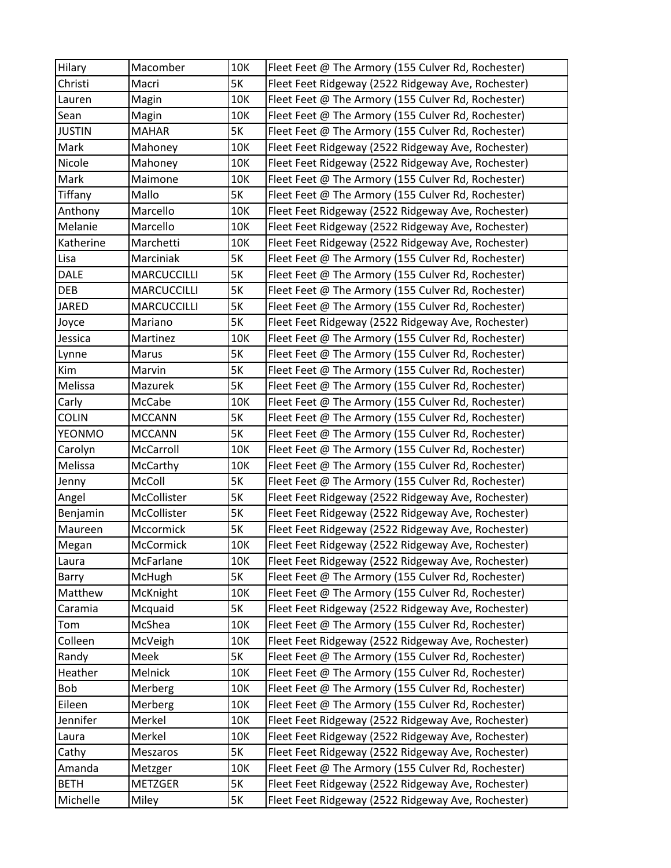| Hilary        | Macomber           | 10K       | Fleet Feet @ The Armory (155 Culver Rd, Rochester) |
|---------------|--------------------|-----------|----------------------------------------------------|
| Christi       | Macri              | 5K        | Fleet Feet Ridgeway (2522 Ridgeway Ave, Rochester) |
| Lauren        | Magin              | 10K       | Fleet Feet @ The Armory (155 Culver Rd, Rochester) |
| Sean          | Magin              | 10K       | Fleet Feet @ The Armory (155 Culver Rd, Rochester) |
| <b>JUSTIN</b> | <b>MAHAR</b>       | <b>5K</b> | Fleet Feet @ The Armory (155 Culver Rd, Rochester) |
| Mark          | Mahoney            | 10K       | Fleet Feet Ridgeway (2522 Ridgeway Ave, Rochester) |
| Nicole        | Mahoney            | 10K       | Fleet Feet Ridgeway (2522 Ridgeway Ave, Rochester) |
| Mark          | Maimone            | 10K       | Fleet Feet @ The Armory (155 Culver Rd, Rochester) |
| Tiffany       | Mallo              | 5K        | Fleet Feet @ The Armory (155 Culver Rd, Rochester) |
| Anthony       | Marcello           | 10K       | Fleet Feet Ridgeway (2522 Ridgeway Ave, Rochester) |
| Melanie       | Marcello           | 10K       | Fleet Feet Ridgeway (2522 Ridgeway Ave, Rochester) |
| Katherine     | Marchetti          | 10K       | Fleet Feet Ridgeway (2522 Ridgeway Ave, Rochester) |
| Lisa          | Marciniak          | 5K        | Fleet Feet @ The Armory (155 Culver Rd, Rochester) |
| <b>DALE</b>   | <b>MARCUCCILLI</b> | 5K        | Fleet Feet @ The Armory (155 Culver Rd, Rochester) |
| <b>DEB</b>    | <b>MARCUCCILLI</b> | 5K        | Fleet Feet @ The Armory (155 Culver Rd, Rochester) |
| <b>JARED</b>  | <b>MARCUCCILLI</b> | 5K        | Fleet Feet @ The Armory (155 Culver Rd, Rochester) |
| Joyce         | Mariano            | 5K        | Fleet Feet Ridgeway (2522 Ridgeway Ave, Rochester) |
| Jessica       | Martinez           | 10K       | Fleet Feet @ The Armory (155 Culver Rd, Rochester) |
| Lynne         | Marus              | 5K        | Fleet Feet @ The Armory (155 Culver Rd, Rochester) |
| Kim           | Marvin             | 5K        | Fleet Feet @ The Armory (155 Culver Rd, Rochester) |
| Melissa       | Mazurek            | 5K        | Fleet Feet @ The Armory (155 Culver Rd, Rochester) |
| Carly         | McCabe             | 10K       | Fleet Feet @ The Armory (155 Culver Rd, Rochester) |
| <b>COLIN</b>  | <b>MCCANN</b>      | 5K        | Fleet Feet @ The Armory (155 Culver Rd, Rochester) |
| <b>YEONMO</b> | <b>MCCANN</b>      | 5K        | Fleet Feet @ The Armory (155 Culver Rd, Rochester) |
| Carolyn       | McCarroll          | 10K       | Fleet Feet @ The Armory (155 Culver Rd, Rochester) |
| Melissa       | McCarthy           | 10K       | Fleet Feet @ The Armory (155 Culver Rd, Rochester) |
| Jenny         | McColl             | 5K        | Fleet Feet @ The Armory (155 Culver Rd, Rochester) |
| Angel         | McCollister        | 5K        | Fleet Feet Ridgeway (2522 Ridgeway Ave, Rochester) |
| Benjamin      | McCollister        | 5K        | Fleet Feet Ridgeway (2522 Ridgeway Ave, Rochester) |
| Maureen       | Mccormick          | 5K        | Fleet Feet Ridgeway (2522 Ridgeway Ave, Rochester) |
| Megan         | McCormick          | 10K       | Fleet Feet Ridgeway (2522 Ridgeway Ave, Rochester) |
| Laura         | McFarlane          | 10K       | Fleet Feet Ridgeway (2522 Ridgeway Ave, Rochester) |
| Barry         | McHugh             | 5K        | Fleet Feet @ The Armory (155 Culver Rd, Rochester) |
| Matthew       | McKnight           | 10K       | Fleet Feet @ The Armory (155 Culver Rd, Rochester) |
| Caramia       | Mcquaid            | 5K        | Fleet Feet Ridgeway (2522 Ridgeway Ave, Rochester) |
| Tom           | McShea             | 10K       | Fleet Feet @ The Armory (155 Culver Rd, Rochester) |
| Colleen       | McVeigh            | 10K       | Fleet Feet Ridgeway (2522 Ridgeway Ave, Rochester) |
| Randy         | Meek               | 5K        | Fleet Feet @ The Armory (155 Culver Rd, Rochester) |
| Heather       | Melnick            | 10K       | Fleet Feet @ The Armory (155 Culver Rd, Rochester) |
| Bob           | Merberg            | 10K       | Fleet Feet @ The Armory (155 Culver Rd, Rochester) |
| Eileen        | Merberg            | 10K       | Fleet Feet @ The Armory (155 Culver Rd, Rochester) |
| Jennifer      | Merkel             | 10K       | Fleet Feet Ridgeway (2522 Ridgeway Ave, Rochester) |
| Laura         | Merkel             | 10K       | Fleet Feet Ridgeway (2522 Ridgeway Ave, Rochester) |
| Cathy         | Meszaros           | 5K        | Fleet Feet Ridgeway (2522 Ridgeway Ave, Rochester) |
| Amanda        | Metzger            | 10K       | Fleet Feet @ The Armory (155 Culver Rd, Rochester) |
| <b>BETH</b>   | <b>METZGER</b>     | 5K        | Fleet Feet Ridgeway (2522 Ridgeway Ave, Rochester) |
| Michelle      | Miley              | 5K        | Fleet Feet Ridgeway (2522 Ridgeway Ave, Rochester) |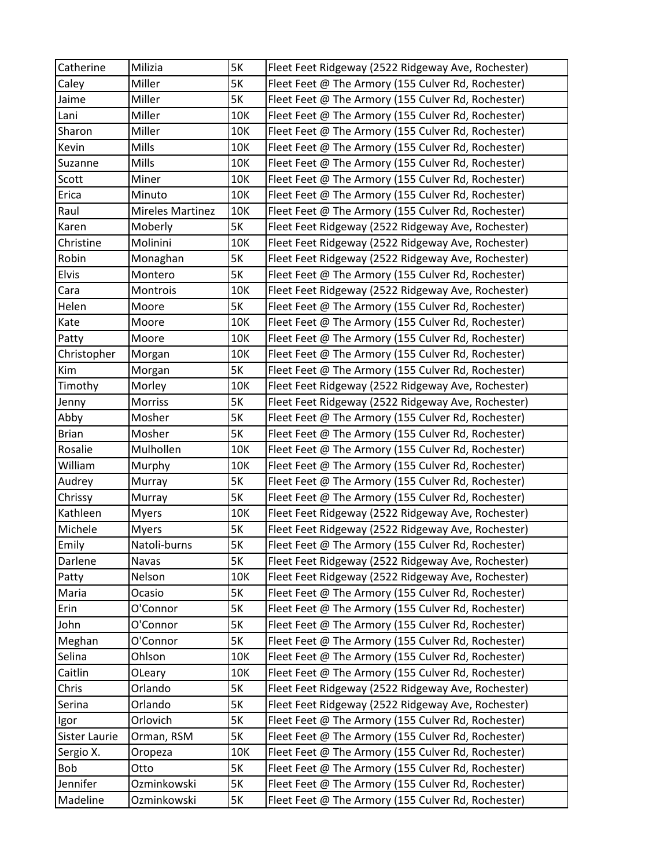| Catherine     | Milizia                 | 5K        | Fleet Feet Ridgeway (2522 Ridgeway Ave, Rochester) |
|---------------|-------------------------|-----------|----------------------------------------------------|
| Caley         | Miller                  | <b>5K</b> | Fleet Feet @ The Armory (155 Culver Rd, Rochester) |
| Jaime         | Miller                  | <b>5K</b> | Fleet Feet @ The Armory (155 Culver Rd, Rochester) |
| Lani          | Miller                  | 10K       | Fleet Feet @ The Armory (155 Culver Rd, Rochester) |
| Sharon        | Miller                  | 10K       | Fleet Feet @ The Armory (155 Culver Rd, Rochester) |
| Kevin         | Mills                   | 10K       | Fleet Feet @ The Armory (155 Culver Rd, Rochester) |
| Suzanne       | Mills                   | 10K       | Fleet Feet @ The Armory (155 Culver Rd, Rochester) |
| Scott         | Miner                   | 10K       | Fleet Feet @ The Armory (155 Culver Rd, Rochester) |
| Erica         | Minuto                  | 10K       | Fleet Feet @ The Armory (155 Culver Rd, Rochester) |
| Raul          | <b>Mireles Martinez</b> | 10K       | Fleet Feet @ The Armory (155 Culver Rd, Rochester) |
| Karen         | Moberly                 | <b>5K</b> | Fleet Feet Ridgeway (2522 Ridgeway Ave, Rochester) |
| Christine     | Molinini                | 10K       | Fleet Feet Ridgeway (2522 Ridgeway Ave, Rochester) |
| Robin         | Monaghan                | 5K        | Fleet Feet Ridgeway (2522 Ridgeway Ave, Rochester) |
| Elvis         | Montero                 | 5K        | Fleet Feet @ The Armory (155 Culver Rd, Rochester) |
| Cara          | Montrois                | 10K       | Fleet Feet Ridgeway (2522 Ridgeway Ave, Rochester) |
| Helen         | Moore                   | <b>5K</b> | Fleet Feet @ The Armory (155 Culver Rd, Rochester) |
| Kate          | Moore                   | 10K       | Fleet Feet @ The Armory (155 Culver Rd, Rochester) |
| Patty         | Moore                   | 10K       | Fleet Feet @ The Armory (155 Culver Rd, Rochester) |
| Christopher   | Morgan                  | 10K       | Fleet Feet @ The Armory (155 Culver Rd, Rochester) |
| Kim           | Morgan                  | 5K        | Fleet Feet @ The Armory (155 Culver Rd, Rochester) |
| Timothy       | Morley                  | 10K       | Fleet Feet Ridgeway (2522 Ridgeway Ave, Rochester) |
| Jenny         | Morriss                 | <b>5K</b> | Fleet Feet Ridgeway (2522 Ridgeway Ave, Rochester) |
| Abby          | Mosher                  | 5K        | Fleet Feet @ The Armory (155 Culver Rd, Rochester) |
| <b>Brian</b>  | Mosher                  | <b>5K</b> | Fleet Feet @ The Armory (155 Culver Rd, Rochester) |
| Rosalie       | Mulhollen               | 10K       | Fleet Feet @ The Armory (155 Culver Rd, Rochester) |
| William       | Murphy                  | 10K       | Fleet Feet @ The Armory (155 Culver Rd, Rochester) |
| Audrey        | Murray                  | <b>5K</b> | Fleet Feet @ The Armory (155 Culver Rd, Rochester) |
| Chrissy       | Murray                  | 5K        | Fleet Feet @ The Armory (155 Culver Rd, Rochester) |
| Kathleen      | <b>Myers</b>            | 10K       | Fleet Feet Ridgeway (2522 Ridgeway Ave, Rochester) |
| Michele       | <b>Myers</b>            | 5K        | Fleet Feet Ridgeway (2522 Ridgeway Ave, Rochester) |
| Emily         | Natoli-burns            | 5K        | Fleet Feet @ The Armory (155 Culver Rd, Rochester) |
| Darlene       | Navas                   | 5K        | Fleet Feet Ridgeway (2522 Ridgeway Ave, Rochester) |
| Patty         | Nelson                  | 10K       | Fleet Feet Ridgeway (2522 Ridgeway Ave, Rochester) |
| Maria         | Ocasio                  | 5K        | Fleet Feet @ The Armory (155 Culver Rd, Rochester) |
| Erin          | O'Connor                | 5K        | Fleet Feet @ The Armory (155 Culver Rd, Rochester) |
| John          | O'Connor                | <b>5K</b> | Fleet Feet @ The Armory (155 Culver Rd, Rochester) |
| Meghan        | O'Connor                | <b>5K</b> | Fleet Feet @ The Armory (155 Culver Rd, Rochester) |
| Selina        | Ohlson                  | 10K       | Fleet Feet @ The Armory (155 Culver Rd, Rochester) |
| Caitlin       | OLeary                  | 10K       | Fleet Feet @ The Armory (155 Culver Rd, Rochester) |
| Chris         | Orlando                 | 5K        | Fleet Feet Ridgeway (2522 Ridgeway Ave, Rochester) |
| Serina        | Orlando                 | 5K        | Fleet Feet Ridgeway (2522 Ridgeway Ave, Rochester) |
| Igor          | Orlovich                | 5K        | Fleet Feet @ The Armory (155 Culver Rd, Rochester) |
| Sister Laurie | Orman, RSM              | 5K        | Fleet Feet @ The Armory (155 Culver Rd, Rochester) |
| Sergio X.     | Oropeza                 | 10K       | Fleet Feet @ The Armory (155 Culver Rd, Rochester) |
| Bob           | Otto                    | 5K        | Fleet Feet @ The Armory (155 Culver Rd, Rochester) |
| Jennifer      | Ozminkowski             | 5K        | Fleet Feet @ The Armory (155 Culver Rd, Rochester) |
| Madeline      | Ozminkowski             | 5K        | Fleet Feet @ The Armory (155 Culver Rd, Rochester) |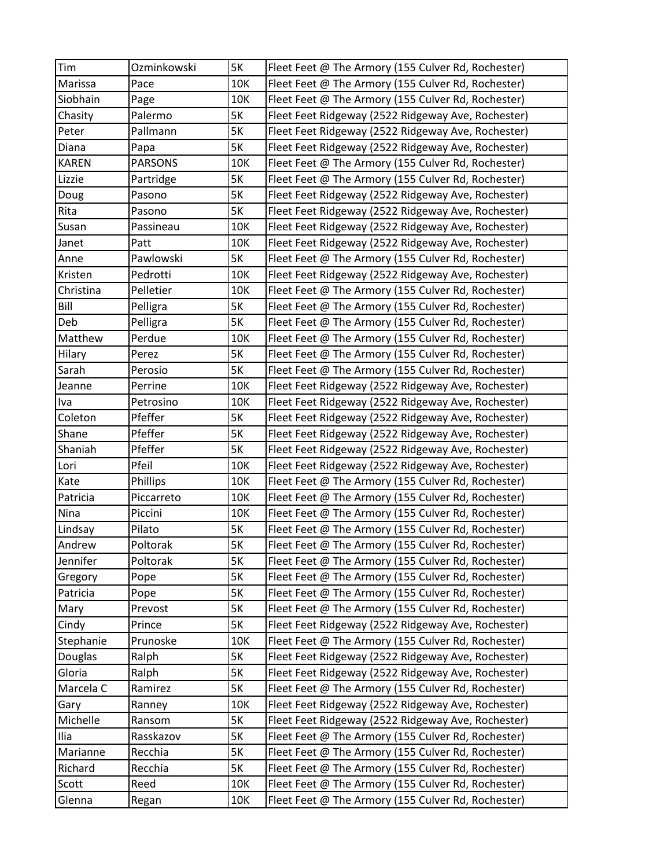| Tim          | Ozminkowski    | 5K        | Fleet Feet @ The Armory (155 Culver Rd, Rochester) |
|--------------|----------------|-----------|----------------------------------------------------|
| Marissa      | Pace           | 10K       | Fleet Feet @ The Armory (155 Culver Rd, Rochester) |
| Siobhain     | Page           | 10K       | Fleet Feet @ The Armory (155 Culver Rd, Rochester) |
| Chasity      | Palermo        | <b>5K</b> | Fleet Feet Ridgeway (2522 Ridgeway Ave, Rochester) |
| Peter        | Pallmann       | <b>5K</b> | Fleet Feet Ridgeway (2522 Ridgeway Ave, Rochester) |
| Diana        | Papa           | <b>5K</b> | Fleet Feet Ridgeway (2522 Ridgeway Ave, Rochester) |
| <b>KAREN</b> | <b>PARSONS</b> | 10K       | Fleet Feet @ The Armory (155 Culver Rd, Rochester) |
| Lizzie       | Partridge      | <b>5K</b> | Fleet Feet @ The Armory (155 Culver Rd, Rochester) |
| Doug         | Pasono         | <b>5K</b> | Fleet Feet Ridgeway (2522 Ridgeway Ave, Rochester) |
| Rita         | Pasono         | <b>5K</b> | Fleet Feet Ridgeway (2522 Ridgeway Ave, Rochester) |
| Susan        | Passineau      | 10K       | Fleet Feet Ridgeway (2522 Ridgeway Ave, Rochester) |
| Janet        | Patt           | 10K       | Fleet Feet Ridgeway (2522 Ridgeway Ave, Rochester) |
| Anne         | Pawlowski      | <b>5K</b> | Fleet Feet @ The Armory (155 Culver Rd, Rochester) |
| Kristen      | Pedrotti       | 10K       | Fleet Feet Ridgeway (2522 Ridgeway Ave, Rochester) |
| Christina    | Pelletier      | 10K       | Fleet Feet @ The Armory (155 Culver Rd, Rochester) |
| Bill         | Pelligra       | <b>5K</b> | Fleet Feet @ The Armory (155 Culver Rd, Rochester) |
| Deb          | Pelligra       | <b>5K</b> | Fleet Feet @ The Armory (155 Culver Rd, Rochester) |
| Matthew      | Perdue         | 10K       | Fleet Feet @ The Armory (155 Culver Rd, Rochester) |
| Hilary       | Perez          | <b>5K</b> | Fleet Feet @ The Armory (155 Culver Rd, Rochester) |
| Sarah        | Perosio        | <b>5K</b> | Fleet Feet @ The Armory (155 Culver Rd, Rochester) |
| Jeanne       | Perrine        | 10K       | Fleet Feet Ridgeway (2522 Ridgeway Ave, Rochester) |
| Iva          | Petrosino      | 10K       | Fleet Feet Ridgeway (2522 Ridgeway Ave, Rochester) |
| Coleton      | Pfeffer        | <b>5K</b> | Fleet Feet Ridgeway (2522 Ridgeway Ave, Rochester) |
| Shane        | Pfeffer        | <b>5K</b> | Fleet Feet Ridgeway (2522 Ridgeway Ave, Rochester) |
| Shaniah      | Pfeffer        | 5K        | Fleet Feet Ridgeway (2522 Ridgeway Ave, Rochester) |
| Lori         | Pfeil          | 10K       | Fleet Feet Ridgeway (2522 Ridgeway Ave, Rochester) |
| Kate         | Phillips       | 10K       | Fleet Feet @ The Armory (155 Culver Rd, Rochester) |
| Patricia     | Piccarreto     | 10K       | Fleet Feet @ The Armory (155 Culver Rd, Rochester) |
| Nina         | Piccini        | 10K       | Fleet Feet @ The Armory (155 Culver Rd, Rochester) |
| Lindsay      | Pilato         | 5K        | Fleet Feet @ The Armory (155 Culver Rd, Rochester) |
| Andrew       | Poltorak       | <b>5K</b> | Fleet Feet @ The Armory (155 Culver Rd, Rochester) |
| Jennifer     | Poltorak       | 5K        | Fleet Feet @ The Armory (155 Culver Rd, Rochester) |
| Gregory      | Pope           | 5K        | Fleet Feet @ The Armory (155 Culver Rd, Rochester) |
| Patricia     | Pope           | 5K        | Fleet Feet @ The Armory (155 Culver Rd, Rochester) |
| Mary         | Prevost        | 5K        | Fleet Feet @ The Armory (155 Culver Rd, Rochester) |
| Cindy        | Prince         | <b>5K</b> | Fleet Feet Ridgeway (2522 Ridgeway Ave, Rochester) |
| Stephanie    | Prunoske       | 10K       | Fleet Feet @ The Armory (155 Culver Rd, Rochester) |
| Douglas      | Ralph          | <b>5K</b> | Fleet Feet Ridgeway (2522 Ridgeway Ave, Rochester) |
| Gloria       | Ralph          | <b>5K</b> | Fleet Feet Ridgeway (2522 Ridgeway Ave, Rochester) |
| Marcela C    | Ramirez        | <b>5K</b> | Fleet Feet @ The Armory (155 Culver Rd, Rochester) |
| Gary         | Ranney         | 10K       | Fleet Feet Ridgeway (2522 Ridgeway Ave, Rochester) |
| Michelle     | Ransom         | <b>5K</b> | Fleet Feet Ridgeway (2522 Ridgeway Ave, Rochester) |
| Ilia         | Rasskazov      | 5K        | Fleet Feet @ The Armory (155 Culver Rd, Rochester) |
| Marianne     | Recchia        | 5K        | Fleet Feet @ The Armory (155 Culver Rd, Rochester) |
| Richard      | Recchia        | <b>5K</b> | Fleet Feet @ The Armory (155 Culver Rd, Rochester) |
| Scott        | Reed           | 10K       | Fleet Feet @ The Armory (155 Culver Rd, Rochester) |
| Glenna       | Regan          | 10K       | Fleet Feet @ The Armory (155 Culver Rd, Rochester) |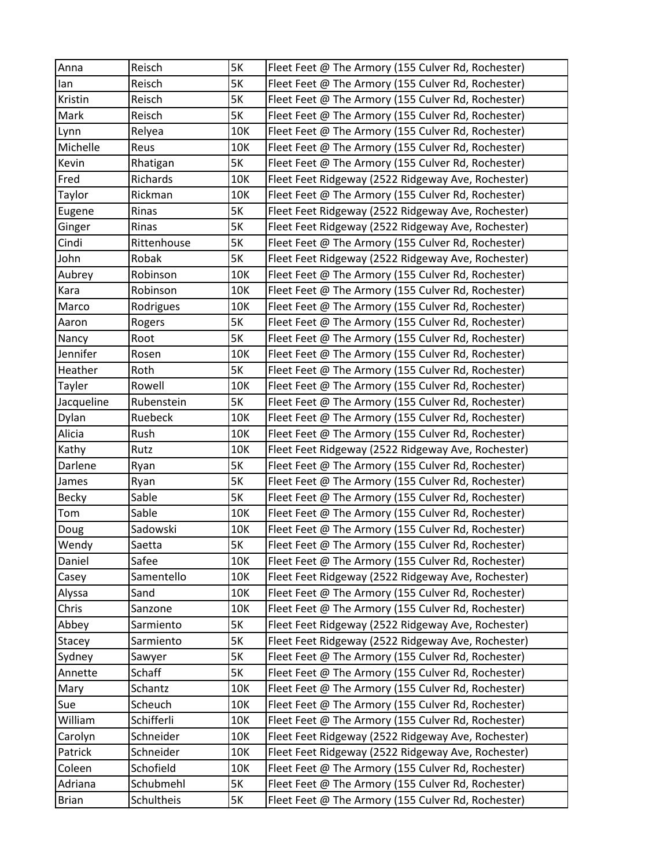| Anna         | Reisch      | 5K        | Fleet Feet @ The Armory (155 Culver Rd, Rochester) |
|--------------|-------------|-----------|----------------------------------------------------|
| lan          | Reisch      | 5K        | Fleet Feet @ The Armory (155 Culver Rd, Rochester) |
| Kristin      | Reisch      | 5K        | Fleet Feet @ The Armory (155 Culver Rd, Rochester) |
| Mark         | Reisch      | 5K        | Fleet Feet @ The Armory (155 Culver Rd, Rochester) |
| Lynn         | Relyea      | 10K       | Fleet Feet @ The Armory (155 Culver Rd, Rochester) |
| Michelle     | Reus        | 10K       | Fleet Feet @ The Armory (155 Culver Rd, Rochester) |
| Kevin        | Rhatigan    | 5K        | Fleet Feet @ The Armory (155 Culver Rd, Rochester) |
| Fred         | Richards    | 10K       | Fleet Feet Ridgeway (2522 Ridgeway Ave, Rochester) |
| Taylor       | Rickman     | 10K       | Fleet Feet @ The Armory (155 Culver Rd, Rochester) |
| Eugene       | Rinas       | 5K        | Fleet Feet Ridgeway (2522 Ridgeway Ave, Rochester) |
| Ginger       | Rinas       | 5K        | Fleet Feet Ridgeway (2522 Ridgeway Ave, Rochester) |
| Cindi        | Rittenhouse | <b>5K</b> | Fleet Feet @ The Armory (155 Culver Rd, Rochester) |
| John         | Robak       | 5K        | Fleet Feet Ridgeway (2522 Ridgeway Ave, Rochester) |
| Aubrey       | Robinson    | 10K       | Fleet Feet @ The Armory (155 Culver Rd, Rochester) |
| Kara         | Robinson    | 10K       | Fleet Feet @ The Armory (155 Culver Rd, Rochester) |
| Marco        | Rodrigues   | 10K       | Fleet Feet @ The Armory (155 Culver Rd, Rochester) |
| Aaron        | Rogers      | 5K        | Fleet Feet @ The Armory (155 Culver Rd, Rochester) |
| Nancy        | Root        | 5K        | Fleet Feet @ The Armory (155 Culver Rd, Rochester) |
| Jennifer     | Rosen       | 10K       | Fleet Feet @ The Armory (155 Culver Rd, Rochester) |
| Heather      | Roth        | 5K        | Fleet Feet @ The Armory (155 Culver Rd, Rochester) |
| Tayler       | Rowell      | 10K       | Fleet Feet @ The Armory (155 Culver Rd, Rochester) |
| Jacqueline   | Rubenstein  | 5K        | Fleet Feet @ The Armory (155 Culver Rd, Rochester) |
| Dylan        | Ruebeck     | 10K       | Fleet Feet @ The Armory (155 Culver Rd, Rochester) |
| Alicia       | Rush        | 10K       | Fleet Feet @ The Armory (155 Culver Rd, Rochester) |
| Kathy        | Rutz        | 10K       | Fleet Feet Ridgeway (2522 Ridgeway Ave, Rochester) |
| Darlene      | Ryan        | 5K        | Fleet Feet @ The Armory (155 Culver Rd, Rochester) |
| James        | Ryan        | 5K        | Fleet Feet @ The Armory (155 Culver Rd, Rochester) |
| <b>Becky</b> | Sable       | 5K        | Fleet Feet @ The Armory (155 Culver Rd, Rochester) |
| Tom          | Sable       | 10K       | Fleet Feet @ The Armory (155 Culver Rd, Rochester) |
| Doug         | Sadowski    | 10K       | Fleet Feet @ The Armory (155 Culver Rd, Rochester) |
| Wendy        | Saetta      | 5K        | Fleet Feet @ The Armory (155 Culver Rd, Rochester) |
| Daniel       | Safee       | 10K       | Fleet Feet @ The Armory (155 Culver Rd, Rochester) |
| Casey        | Samentello  | 10K       | Fleet Feet Ridgeway (2522 Ridgeway Ave, Rochester) |
| Alyssa       | Sand        | 10K       | Fleet Feet @ The Armory (155 Culver Rd, Rochester) |
| Chris        | Sanzone     | 10K       | Fleet Feet @ The Armory (155 Culver Rd, Rochester) |
| Abbey        | Sarmiento   | 5K        | Fleet Feet Ridgeway (2522 Ridgeway Ave, Rochester) |
| Stacey       | Sarmiento   | 5K        | Fleet Feet Ridgeway (2522 Ridgeway Ave, Rochester) |
| Sydney       | Sawyer      | 5K        | Fleet Feet @ The Armory (155 Culver Rd, Rochester) |
| Annette      | Schaff      | 5K        | Fleet Feet @ The Armory (155 Culver Rd, Rochester) |
| Mary         | Schantz     | 10K       | Fleet Feet @ The Armory (155 Culver Rd, Rochester) |
| Sue          | Scheuch     | 10K       | Fleet Feet @ The Armory (155 Culver Rd, Rochester) |
| William      | Schifferli  | 10K       | Fleet Feet @ The Armory (155 Culver Rd, Rochester) |
| Carolyn      | Schneider   | 10K       | Fleet Feet Ridgeway (2522 Ridgeway Ave, Rochester) |
| Patrick      | Schneider   | 10K       | Fleet Feet Ridgeway (2522 Ridgeway Ave, Rochester) |
| Coleen       | Schofield   | 10K       | Fleet Feet @ The Armory (155 Culver Rd, Rochester) |
| Adriana      | Schubmehl   | 5K        | Fleet Feet @ The Armory (155 Culver Rd, Rochester) |
| <b>Brian</b> | Schultheis  | 5K        | Fleet Feet @ The Armory (155 Culver Rd, Rochester) |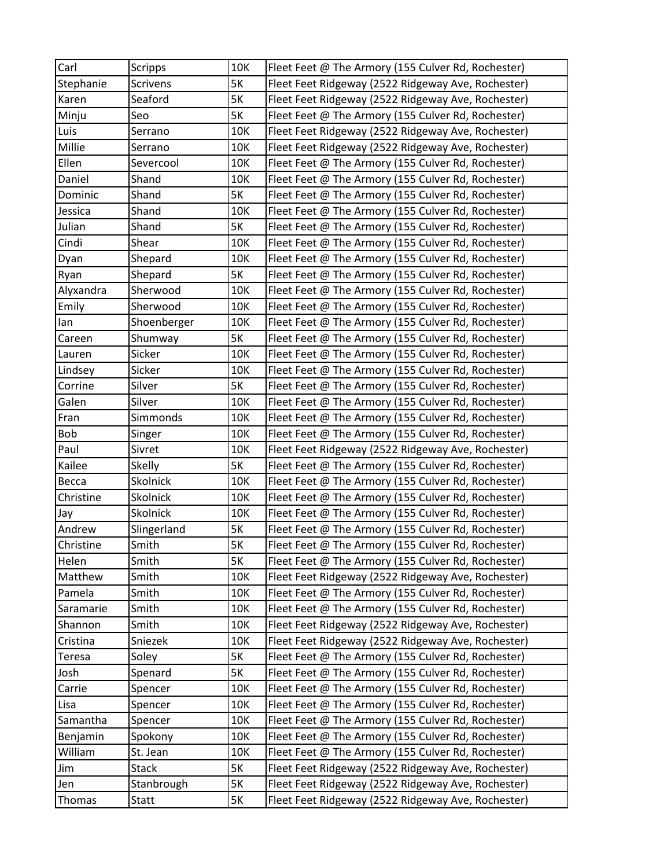| Carl          | <b>Scripps</b> | 10K       | Fleet Feet @ The Armory (155 Culver Rd, Rochester) |
|---------------|----------------|-----------|----------------------------------------------------|
| Stephanie     | Scrivens       | <b>5K</b> | Fleet Feet Ridgeway (2522 Ridgeway Ave, Rochester) |
| Karen         | Seaford        | <b>5K</b> | Fleet Feet Ridgeway (2522 Ridgeway Ave, Rochester) |
| Minju         | Seo            | <b>5K</b> | Fleet Feet @ The Armory (155 Culver Rd, Rochester) |
| Luis          | Serrano        | 10K       | Fleet Feet Ridgeway (2522 Ridgeway Ave, Rochester) |
| Millie        | Serrano        | 10K       | Fleet Feet Ridgeway (2522 Ridgeway Ave, Rochester) |
| Ellen         | Severcool      | 10K       | Fleet Feet @ The Armory (155 Culver Rd, Rochester) |
| Daniel        | Shand          | 10K       | Fleet Feet @ The Armory (155 Culver Rd, Rochester) |
| Dominic       | Shand          | <b>5K</b> | Fleet Feet @ The Armory (155 Culver Rd, Rochester) |
| Jessica       | Shand          | 10K       | Fleet Feet @ The Armory (155 Culver Rd, Rochester) |
| Julian        | Shand          | <b>5K</b> | Fleet Feet @ The Armory (155 Culver Rd, Rochester) |
| Cindi         | Shear          | 10K       | Fleet Feet @ The Armory (155 Culver Rd, Rochester) |
| Dyan          | Shepard        | 10K       | Fleet Feet @ The Armory (155 Culver Rd, Rochester) |
| Ryan          | Shepard        | 5K        | Fleet Feet @ The Armory (155 Culver Rd, Rochester) |
| Alyxandra     | Sherwood       | 10K       | Fleet Feet @ The Armory (155 Culver Rd, Rochester) |
| Emily         | Sherwood       | 10K       | Fleet Feet @ The Armory (155 Culver Rd, Rochester) |
| lan           | Shoenberger    | 10K       | Fleet Feet @ The Armory (155 Culver Rd, Rochester) |
| Careen        | Shumway        | <b>5K</b> | Fleet Feet @ The Armory (155 Culver Rd, Rochester) |
| Lauren        | Sicker         | 10K       | Fleet Feet @ The Armory (155 Culver Rd, Rochester) |
| Lindsey       | Sicker         | 10K       | Fleet Feet @ The Armory (155 Culver Rd, Rochester) |
| Corrine       | Silver         | <b>5K</b> | Fleet Feet @ The Armory (155 Culver Rd, Rochester) |
| Galen         | Silver         | 10K       | Fleet Feet @ The Armory (155 Culver Rd, Rochester) |
| Fran          | Simmonds       | 10K       | Fleet Feet @ The Armory (155 Culver Rd, Rochester) |
| Bob           | Singer         | 10K       | Fleet Feet @ The Armory (155 Culver Rd, Rochester) |
| Paul          | Sivret         | 10K       | Fleet Feet Ridgeway (2522 Ridgeway Ave, Rochester) |
| Kailee        | <b>Skelly</b>  | <b>5K</b> | Fleet Feet @ The Armory (155 Culver Rd, Rochester) |
| Becca         | Skolnick       | 10K       | Fleet Feet @ The Armory (155 Culver Rd, Rochester) |
| Christine     | Skolnick       | 10K       | Fleet Feet @ The Armory (155 Culver Rd, Rochester) |
| Jay           | Skolnick       | 10K       | Fleet Feet @ The Armory (155 Culver Rd, Rochester) |
| Andrew        | Slingerland    | 5K        | Fleet Feet @ The Armory (155 Culver Rd, Rochester) |
| Christine     | Smith          | 5K        | Fleet Feet @ The Armory (155 Culver Rd, Rochester) |
| Helen         | Smith          | 5K        | Fleet Feet @ The Armory (155 Culver Rd, Rochester) |
| Matthew       | Smith          | 10K       | Fleet Feet Ridgeway (2522 Ridgeway Ave, Rochester) |
| Pamela        | Smith          | 10K       | Fleet Feet @ The Armory (155 Culver Rd, Rochester) |
| Saramarie     | Smith          | 10K       | Fleet Feet @ The Armory (155 Culver Rd, Rochester) |
| Shannon       | Smith          | 10K       | Fleet Feet Ridgeway (2522 Ridgeway Ave, Rochester) |
| Cristina      | Sniezek        | 10K       | Fleet Feet Ridgeway (2522 Ridgeway Ave, Rochester) |
| <b>Teresa</b> | Soley          | 5K        | Fleet Feet @ The Armory (155 Culver Rd, Rochester) |
| Josh          | Spenard        | 5K        | Fleet Feet @ The Armory (155 Culver Rd, Rochester) |
| Carrie        | Spencer        | 10K       | Fleet Feet @ The Armory (155 Culver Rd, Rochester) |
| Lisa          | Spencer        | 10K       | Fleet Feet @ The Armory (155 Culver Rd, Rochester) |
| Samantha      | Spencer        | 10K       | Fleet Feet @ The Armory (155 Culver Rd, Rochester) |
| Benjamin      | Spokony        | 10K       | Fleet Feet @ The Armory (155 Culver Rd, Rochester) |
| William       | St. Jean       | 10K       | Fleet Feet @ The Armory (155 Culver Rd, Rochester) |
| Jim           | <b>Stack</b>   | 5K        | Fleet Feet Ridgeway (2522 Ridgeway Ave, Rochester) |
| Jen           | Stanbrough     | <b>5K</b> | Fleet Feet Ridgeway (2522 Ridgeway Ave, Rochester) |
| Thomas        | Statt          | 5K        | Fleet Feet Ridgeway (2522 Ridgeway Ave, Rochester) |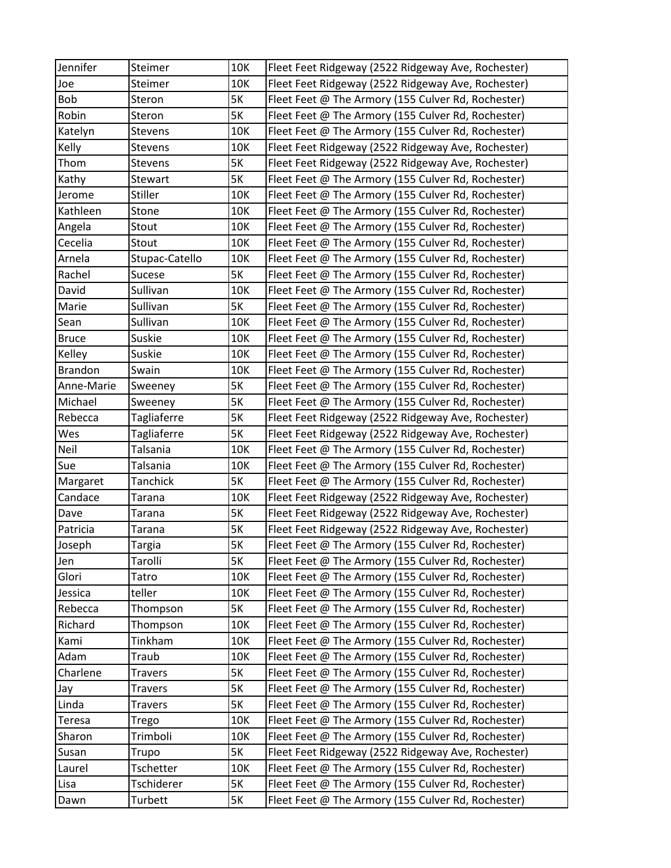| Jennifer       | Steimer            | 10K       | Fleet Feet Ridgeway (2522 Ridgeway Ave, Rochester) |
|----------------|--------------------|-----------|----------------------------------------------------|
| Joe            | Steimer            | 10K       | Fleet Feet Ridgeway (2522 Ridgeway Ave, Rochester) |
| Bob            | Steron             | <b>5K</b> | Fleet Feet @ The Armory (155 Culver Rd, Rochester) |
| Robin          | Steron             | <b>5K</b> | Fleet Feet @ The Armory (155 Culver Rd, Rochester) |
| Katelyn        | Stevens            | 10K       | Fleet Feet @ The Armory (155 Culver Rd, Rochester) |
| Kelly          | Stevens            | 10K       | Fleet Feet Ridgeway (2522 Ridgeway Ave, Rochester) |
| Thom           | Stevens            | <b>5K</b> | Fleet Feet Ridgeway (2522 Ridgeway Ave, Rochester) |
| Kathy          | Stewart            | 5K        | Fleet Feet @ The Armory (155 Culver Rd, Rochester) |
| Jerome         | Stiller            | 10K       | Fleet Feet @ The Armory (155 Culver Rd, Rochester) |
| Kathleen       | Stone              | 10K       | Fleet Feet @ The Armory (155 Culver Rd, Rochester) |
| Angela         | Stout              | 10K       | Fleet Feet @ The Armory (155 Culver Rd, Rochester) |
| Cecelia        | Stout              | 10K       | Fleet Feet @ The Armory (155 Culver Rd, Rochester) |
| Arnela         | Stupac-Catello     | 10K       | Fleet Feet @ The Armory (155 Culver Rd, Rochester) |
| Rachel         | Sucese             | <b>5K</b> | Fleet Feet @ The Armory (155 Culver Rd, Rochester) |
| David          | Sullivan           | 10K       | Fleet Feet @ The Armory (155 Culver Rd, Rochester) |
| Marie          | Sullivan           | <b>5K</b> | Fleet Feet @ The Armory (155 Culver Rd, Rochester) |
| Sean           | Sullivan           | 10K       | Fleet Feet @ The Armory (155 Culver Rd, Rochester) |
| <b>Bruce</b>   | Suskie             | 10K       | Fleet Feet @ The Armory (155 Culver Rd, Rochester) |
| Kelley         | Suskie             | 10K       | Fleet Feet @ The Armory (155 Culver Rd, Rochester) |
| <b>Brandon</b> | Swain              | 10K       | Fleet Feet @ The Armory (155 Culver Rd, Rochester) |
| Anne-Marie     | Sweeney            | 5K        | Fleet Feet @ The Armory (155 Culver Rd, Rochester) |
| Michael        | Sweeney            | <b>5K</b> | Fleet Feet @ The Armory (155 Culver Rd, Rochester) |
| Rebecca        | Tagliaferre        | 5K        | Fleet Feet Ridgeway (2522 Ridgeway Ave, Rochester) |
| Wes            | <b>Tagliaferre</b> | 5K        | Fleet Feet Ridgeway (2522 Ridgeway Ave, Rochester) |
| Neil           | Talsania           | 10K       | Fleet Feet @ The Armory (155 Culver Rd, Rochester) |
| Sue            | Talsania           | 10K       | Fleet Feet @ The Armory (155 Culver Rd, Rochester) |
| Margaret       | Tanchick           | 5K        | Fleet Feet @ The Armory (155 Culver Rd, Rochester) |
| Candace        | <b>Tarana</b>      | 10K       | Fleet Feet Ridgeway (2522 Ridgeway Ave, Rochester) |
| Dave           | Tarana             | <b>5K</b> | Fleet Feet Ridgeway (2522 Ridgeway Ave, Rochester) |
| Patricia       | Tarana             | 5K        | Fleet Feet Ridgeway (2522 Ridgeway Ave, Rochester) |
| Joseph         | <b>Targia</b>      | 5K        | Fleet Feet @ The Armory (155 Culver Rd, Rochester) |
| Jen            | Tarolli            | 5K        | Fleet Feet @ The Armory (155 Culver Rd, Rochester) |
| Glori          | Tatro              | 10K       | Fleet Feet @ The Armory (155 Culver Rd, Rochester) |
| Jessica        | teller             | 10K       | Fleet Feet @ The Armory (155 Culver Rd, Rochester) |
| Rebecca        | Thompson           | 5K        | Fleet Feet @ The Armory (155 Culver Rd, Rochester) |
| Richard        | Thompson           | 10K       | Fleet Feet @ The Armory (155 Culver Rd, Rochester) |
| Kami           | Tinkham            | 10K       | Fleet Feet @ The Armory (155 Culver Rd, Rochester) |
| Adam           | Traub              | 10K       | Fleet Feet @ The Armory (155 Culver Rd, Rochester) |
| Charlene       | <b>Travers</b>     | 5K        | Fleet Feet @ The Armory (155 Culver Rd, Rochester) |
| Jay            | <b>Travers</b>     | 5K        | Fleet Feet @ The Armory (155 Culver Rd, Rochester) |
| Linda          | <b>Travers</b>     | 5K        | Fleet Feet @ The Armory (155 Culver Rd, Rochester) |
| <b>Teresa</b>  | Trego              | 10K       | Fleet Feet @ The Armory (155 Culver Rd, Rochester) |
| Sharon         | Trimboli           | 10K       | Fleet Feet @ The Armory (155 Culver Rd, Rochester) |
| Susan          | Trupo              | <b>5K</b> | Fleet Feet Ridgeway (2522 Ridgeway Ave, Rochester) |
| Laurel         | Tschetter          | 10K       | Fleet Feet @ The Armory (155 Culver Rd, Rochester) |
| Lisa           | Tschiderer         | 5K        | Fleet Feet @ The Armory (155 Culver Rd, Rochester) |
| Dawn           | Turbett            | 5K        | Fleet Feet @ The Armory (155 Culver Rd, Rochester) |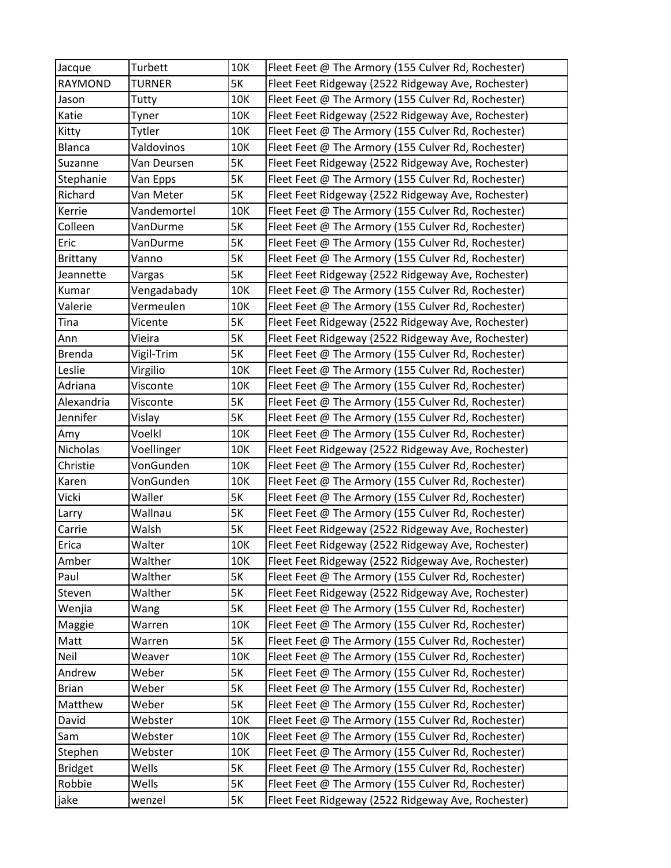| Jacque         | Turbett       | 10K       | Fleet Feet @ The Armory (155 Culver Rd, Rochester) |
|----------------|---------------|-----------|----------------------------------------------------|
| <b>RAYMOND</b> | <b>TURNER</b> | 5K        | Fleet Feet Ridgeway (2522 Ridgeway Ave, Rochester) |
| Jason          | Tutty         | 10K       | Fleet Feet @ The Armory (155 Culver Rd, Rochester) |
| Katie          | Tyner         | 10K       | Fleet Feet Ridgeway (2522 Ridgeway Ave, Rochester) |
| Kitty          | Tytler        | 10K       | Fleet Feet @ The Armory (155 Culver Rd, Rochester) |
| <b>Blanca</b>  | Valdovinos    | 10K       | Fleet Feet @ The Armory (155 Culver Rd, Rochester) |
| Suzanne        | Van Deursen   | <b>5K</b> | Fleet Feet Ridgeway (2522 Ridgeway Ave, Rochester) |
| Stephanie      | Van Epps      | 5K        | Fleet Feet @ The Armory (155 Culver Rd, Rochester) |
| Richard        | Van Meter     | 5K        | Fleet Feet Ridgeway (2522 Ridgeway Ave, Rochester) |
| Kerrie         | Vandemortel   | 10K       | Fleet Feet @ The Armory (155 Culver Rd, Rochester) |
| Colleen        | VanDurme      | 5K        | Fleet Feet @ The Armory (155 Culver Rd, Rochester) |
| Eric           | VanDurme      | 5K        | Fleet Feet @ The Armory (155 Culver Rd, Rochester) |
| Brittany       | Vanno         | 5K        | Fleet Feet @ The Armory (155 Culver Rd, Rochester) |
| Jeannette      | Vargas        | 5K        | Fleet Feet Ridgeway (2522 Ridgeway Ave, Rochester) |
| Kumar          | Vengadabady   | 10K       | Fleet Feet @ The Armory (155 Culver Rd, Rochester) |
| Valerie        | Vermeulen     | 10K       | Fleet Feet @ The Armory (155 Culver Rd, Rochester) |
| Tina           | Vicente       | <b>5K</b> | Fleet Feet Ridgeway (2522 Ridgeway Ave, Rochester) |
| Ann            | Vieira        | 5K        | Fleet Feet Ridgeway (2522 Ridgeway Ave, Rochester) |
| <b>Brenda</b>  | Vigil-Trim    | 5K        | Fleet Feet @ The Armory (155 Culver Rd, Rochester) |
| Leslie         | Virgilio      | 10K       | Fleet Feet @ The Armory (155 Culver Rd, Rochester) |
| Adriana        | Visconte      | 10K       | Fleet Feet @ The Armory (155 Culver Rd, Rochester) |
| Alexandria     | Visconte      | 5K        | Fleet Feet @ The Armory (155 Culver Rd, Rochester) |
| Jennifer       | Vislay        | 5K        | Fleet Feet @ The Armory (155 Culver Rd, Rochester) |
| Amy            | Voelkl        | 10K       | Fleet Feet @ The Armory (155 Culver Rd, Rochester) |
| Nicholas       | Voellinger    | 10K       | Fleet Feet Ridgeway (2522 Ridgeway Ave, Rochester) |
| Christie       | VonGunden     | 10K       | Fleet Feet @ The Armory (155 Culver Rd, Rochester) |
| Karen          | VonGunden     | 10K       | Fleet Feet @ The Armory (155 Culver Rd, Rochester) |
| Vicki          | Waller        | 5K        | Fleet Feet @ The Armory (155 Culver Rd, Rochester) |
| Larry          | Wallnau       | <b>5K</b> | Fleet Feet @ The Armory (155 Culver Rd, Rochester) |
| Carrie         | Walsh         | 5K        | Fleet Feet Ridgeway (2522 Ridgeway Ave, Rochester) |
| Erica          | Walter        | 10K       | Fleet Feet Ridgeway (2522 Ridgeway Ave, Rochester) |
| Amber          | Walther       | 10K       | Fleet Feet Ridgeway (2522 Ridgeway Ave, Rochester) |
| Paul           | Walther       | 5K        | Fleet Feet @ The Armory (155 Culver Rd, Rochester) |
| Steven         | Walther       | 5K        | Fleet Feet Ridgeway (2522 Ridgeway Ave, Rochester) |
| Wenjia         | Wang          | 5K        | Fleet Feet @ The Armory (155 Culver Rd, Rochester) |
| Maggie         | Warren        | 10K       | Fleet Feet @ The Armory (155 Culver Rd, Rochester) |
| Matt           | Warren        | 5K        | Fleet Feet @ The Armory (155 Culver Rd, Rochester) |
| Neil           | Weaver        | 10K       | Fleet Feet @ The Armory (155 Culver Rd, Rochester) |
| Andrew         | Weber         | 5K        | Fleet Feet @ The Armory (155 Culver Rd, Rochester) |
| <b>Brian</b>   | Weber         | 5K        | Fleet Feet @ The Armory (155 Culver Rd, Rochester) |
| Matthew        | Weber         | 5K        | Fleet Feet @ The Armory (155 Culver Rd, Rochester) |
| David          | Webster       | 10K       | Fleet Feet @ The Armory (155 Culver Rd, Rochester) |
| Sam            | Webster       | 10K       | Fleet Feet @ The Armory (155 Culver Rd, Rochester) |
| Stephen        | Webster       | 10K       | Fleet Feet @ The Armory (155 Culver Rd, Rochester) |
| <b>Bridget</b> | Wells         | 5K        | Fleet Feet @ The Armory (155 Culver Rd, Rochester) |
| Robbie         | Wells         | 5K        | Fleet Feet @ The Armory (155 Culver Rd, Rochester) |
| jake           | wenzel        | 5K        | Fleet Feet Ridgeway (2522 Ridgeway Ave, Rochester) |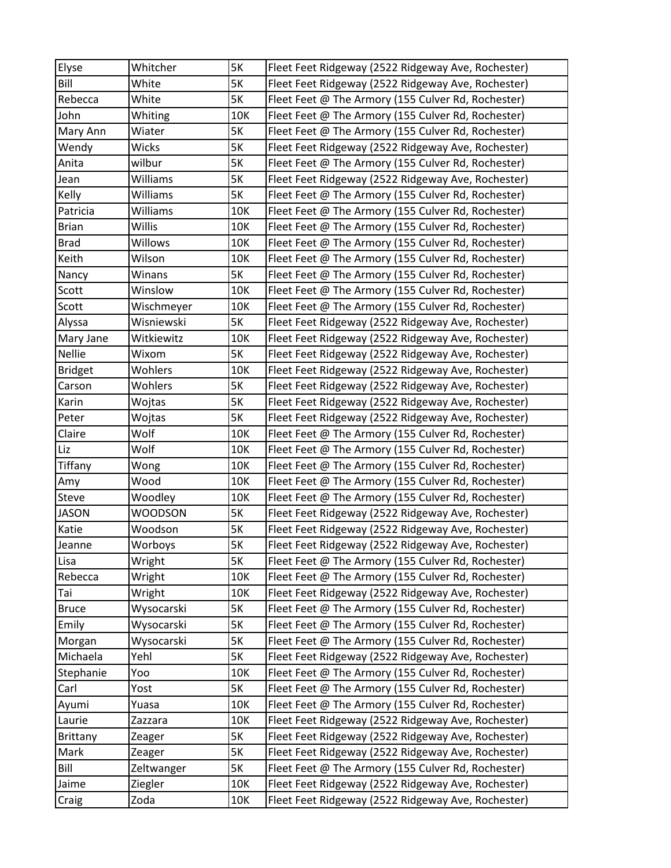| Elyse          | Whitcher       | 5K        | Fleet Feet Ridgeway (2522 Ridgeway Ave, Rochester) |
|----------------|----------------|-----------|----------------------------------------------------|
| Bill           | White          | <b>5K</b> | Fleet Feet Ridgeway (2522 Ridgeway Ave, Rochester) |
| Rebecca        | White          | <b>5K</b> | Fleet Feet @ The Armory (155 Culver Rd, Rochester) |
| John           | Whiting        | 10K       | Fleet Feet @ The Armory (155 Culver Rd, Rochester) |
| Mary Ann       | Wiater         | <b>5K</b> | Fleet Feet @ The Armory (155 Culver Rd, Rochester) |
| Wendy          | Wicks          | <b>5K</b> | Fleet Feet Ridgeway (2522 Ridgeway Ave, Rochester) |
| Anita          | wilbur         | <b>5K</b> | Fleet Feet @ The Armory (155 Culver Rd, Rochester) |
| Jean           | Williams       | <b>5K</b> | Fleet Feet Ridgeway (2522 Ridgeway Ave, Rochester) |
| Kelly          | Williams       | <b>5K</b> | Fleet Feet @ The Armory (155 Culver Rd, Rochester) |
| Patricia       | Williams       | 10K       | Fleet Feet @ The Armory (155 Culver Rd, Rochester) |
| <b>Brian</b>   | Willis         | 10K       | Fleet Feet @ The Armory (155 Culver Rd, Rochester) |
| <b>Brad</b>    | Willows        | 10K       | Fleet Feet @ The Armory (155 Culver Rd, Rochester) |
| Keith          | Wilson         | 10K       | Fleet Feet @ The Armory (155 Culver Rd, Rochester) |
| Nancy          | Winans         | <b>5K</b> | Fleet Feet @ The Armory (155 Culver Rd, Rochester) |
| Scott          | Winslow        | 10K       | Fleet Feet @ The Armory (155 Culver Rd, Rochester) |
| Scott          | Wischmeyer     | 10K       | Fleet Feet @ The Armory (155 Culver Rd, Rochester) |
| Alyssa         | Wisniewski     | <b>5K</b> | Fleet Feet Ridgeway (2522 Ridgeway Ave, Rochester) |
| Mary Jane      | Witkiewitz     | 10K       | Fleet Feet Ridgeway (2522 Ridgeway Ave, Rochester) |
| Nellie         | Wixom          | <b>5K</b> | Fleet Feet Ridgeway (2522 Ridgeway Ave, Rochester) |
| <b>Bridget</b> | Wohlers        | 10K       | Fleet Feet Ridgeway (2522 Ridgeway Ave, Rochester) |
| Carson         | Wohlers        | <b>5K</b> | Fleet Feet Ridgeway (2522 Ridgeway Ave, Rochester) |
| Karin          | Wojtas         | <b>5K</b> | Fleet Feet Ridgeway (2522 Ridgeway Ave, Rochester) |
| Peter          | Wojtas         | <b>5K</b> | Fleet Feet Ridgeway (2522 Ridgeway Ave, Rochester) |
| Claire         | Wolf           | 10K       | Fleet Feet @ The Armory (155 Culver Rd, Rochester) |
| Liz            | Wolf           | 10K       | Fleet Feet @ The Armory (155 Culver Rd, Rochester) |
| Tiffany        | Wong           | 10K       | Fleet Feet @ The Armory (155 Culver Rd, Rochester) |
| Amy            | Wood           | 10K       | Fleet Feet @ The Armory (155 Culver Rd, Rochester) |
| Steve          | Woodley        | 10K       | Fleet Feet @ The Armory (155 Culver Rd, Rochester) |
| <b>JASON</b>   | <b>WOODSON</b> | <b>5K</b> | Fleet Feet Ridgeway (2522 Ridgeway Ave, Rochester) |
| Katie          | Woodson        | <b>5K</b> | Fleet Feet Ridgeway (2522 Ridgeway Ave, Rochester) |
| Jeanne         | Worboys        | <b>5K</b> | Fleet Feet Ridgeway (2522 Ridgeway Ave, Rochester) |
| Lisa           | Wright         | 5K        | Fleet Feet @ The Armory (155 Culver Rd, Rochester) |
| Rebecca        | Wright         | 10K       | Fleet Feet @ The Armory (155 Culver Rd, Rochester) |
| Tai            | Wright         | 10K       | Fleet Feet Ridgeway (2522 Ridgeway Ave, Rochester) |
| <b>Bruce</b>   | Wysocarski     | 5K        | Fleet Feet @ The Armory (155 Culver Rd, Rochester) |
| Emily          | Wysocarski     | <b>5K</b> | Fleet Feet @ The Armory (155 Culver Rd, Rochester) |
| Morgan         | Wysocarski     | 5K        | Fleet Feet @ The Armory (155 Culver Rd, Rochester) |
| Michaela       | Yehl           | 5K        | Fleet Feet Ridgeway (2522 Ridgeway Ave, Rochester) |
| Stephanie      | Yoo            | 10K       | Fleet Feet @ The Armory (155 Culver Rd, Rochester) |
| Carl           | Yost           | <b>5K</b> | Fleet Feet @ The Armory (155 Culver Rd, Rochester) |
| Ayumi          | Yuasa          | 10K       | Fleet Feet @ The Armory (155 Culver Rd, Rochester) |
| Laurie         | Zazzara        | 10K       | Fleet Feet Ridgeway (2522 Ridgeway Ave, Rochester) |
| Brittany       | Zeager         | 5K        | Fleet Feet Ridgeway (2522 Ridgeway Ave, Rochester) |
| Mark           | Zeager         | 5K        | Fleet Feet Ridgeway (2522 Ridgeway Ave, Rochester) |
| Bill           | Zeltwanger     | 5K        | Fleet Feet @ The Armory (155 Culver Rd, Rochester) |
| Jaime          | Ziegler        | 10K       | Fleet Feet Ridgeway (2522 Ridgeway Ave, Rochester) |
| Craig          | Zoda           | 10K       | Fleet Feet Ridgeway (2522 Ridgeway Ave, Rochester) |